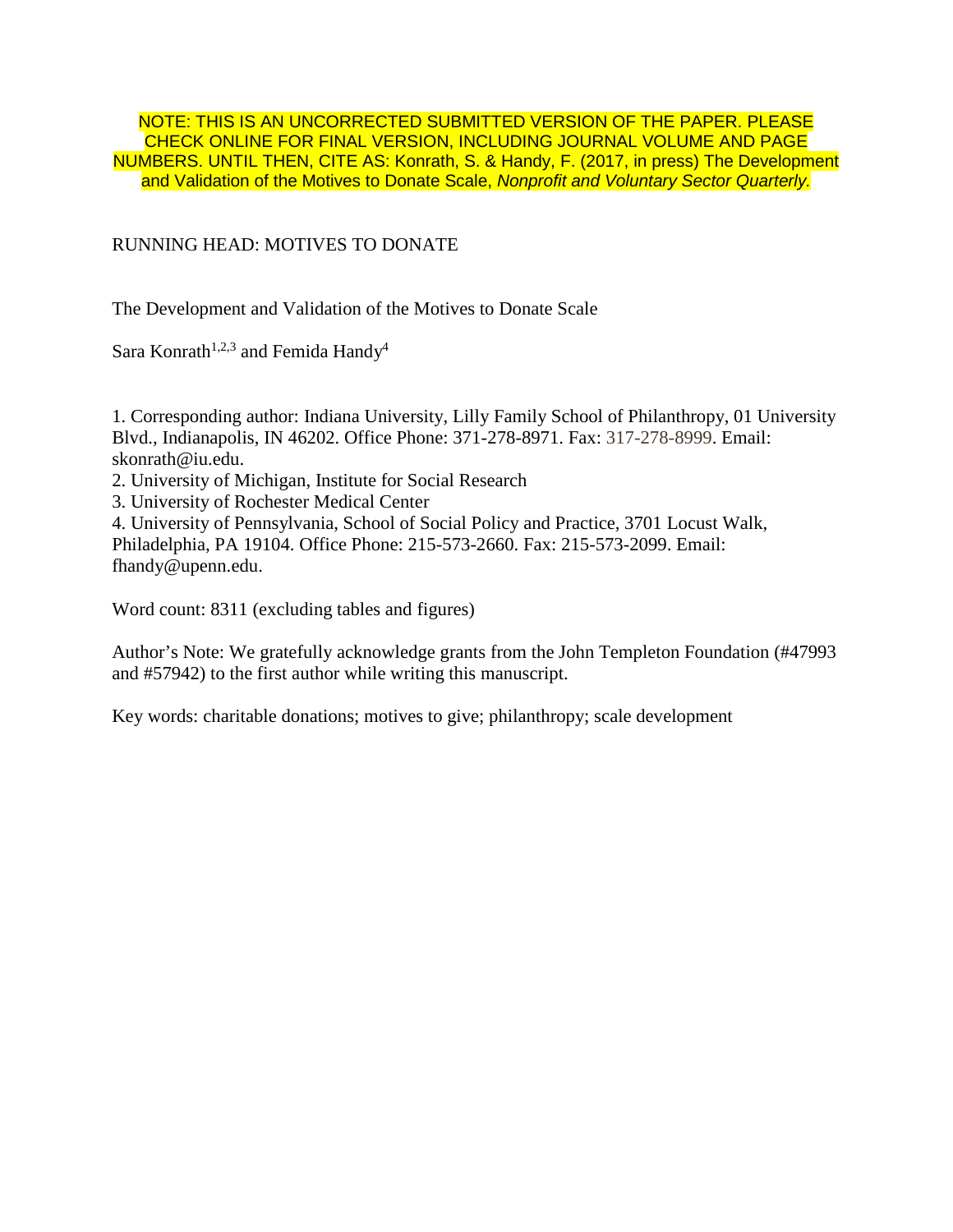NOTE: THIS IS AN UNCORRECTED SUBMITTED VERSION OF THE PAPER. PLEASE CHECK ONLINE FOR FINAL VERSION, INCLUDING JOURNAL VOLUME AND PAGE NUMBERS. UNTIL THEN, CITE AS: Konrath, S. & Handy, F. (2017, in press) The Development and Validation of the Motives to Donate Scale, *Nonprofit and Voluntary Sector Quarterly.*

# RUNNING HEAD: MOTIVES TO DONATE

The Development and Validation of the Motives to Donate Scale

Sara Konrath<sup>1,2,3</sup> and Femida Handy<sup>4</sup>

1. Corresponding author: Indiana University, Lilly Family School of Philanthropy, 01 University Blvd., Indianapolis, IN 46202. Office Phone: 371-278-8971. Fax: 317-278-8999. Email: skonrath@iu.edu.

- 2. University of Michigan, Institute for Social Research
- 3. University of Rochester Medical Center

4. University of Pennsylvania, School of Social Policy and Practice, 3701 Locust Walk, Philadelphia, PA 19104. Office Phone: 215-573-2660. Fax: 215-573-2099. Email: [fhandy@upenn.edu.](mailto:fhandy@upenn.edu)

Word count: 8311 (excluding tables and figures)

Author's Note: We gratefully acknowledge grants from the John Templeton Foundation (#47993 and #57942) to the first author while writing this manuscript.

Key words: charitable donations; motives to give; philanthropy; scale development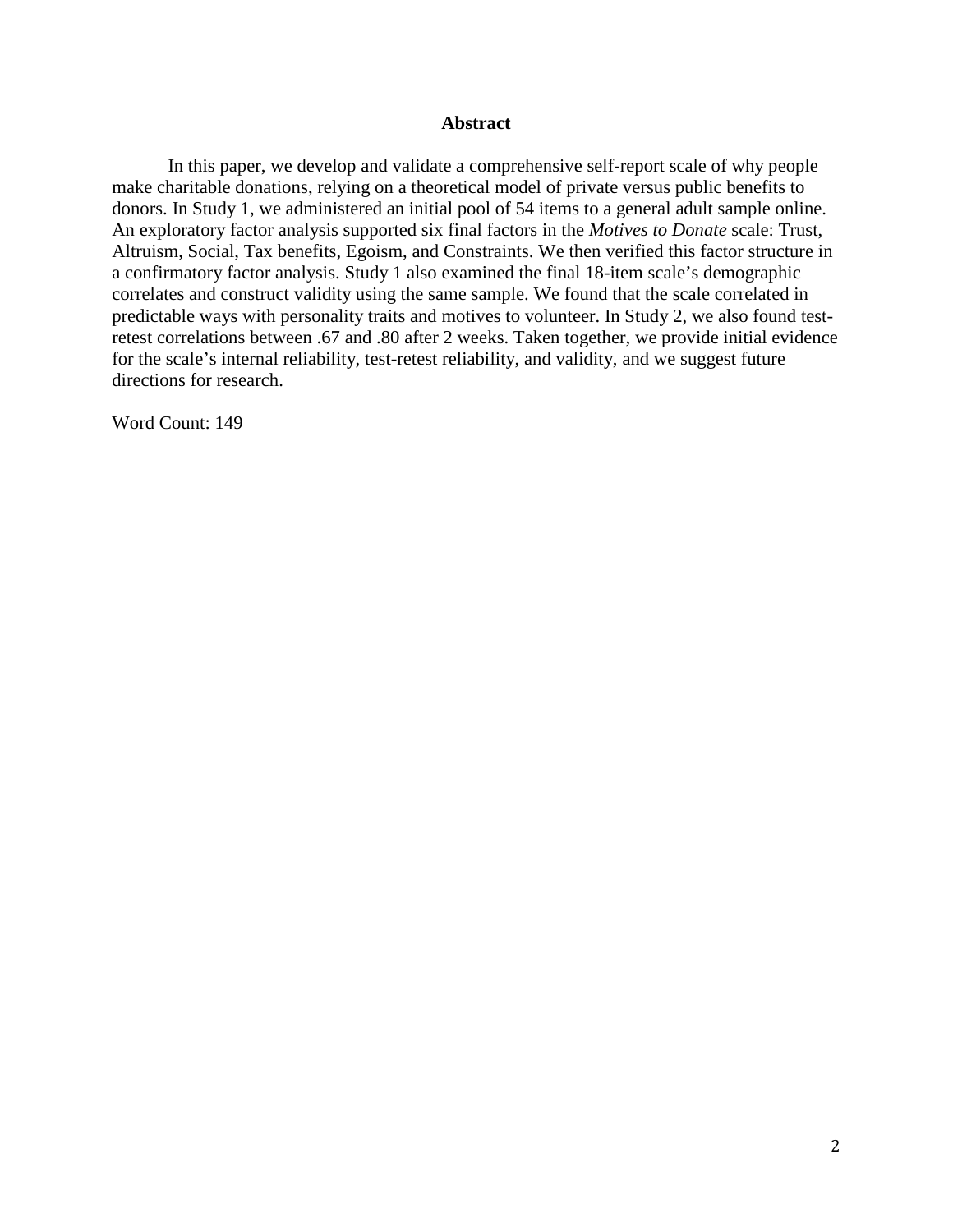#### **Abstract**

In this paper, we develop and validate a comprehensive self-report scale of why people make charitable donations, relying on a theoretical model of private versus public benefits to donors. In Study 1, we administered an initial pool of 54 items to a general adult sample online. An exploratory factor analysis supported six final factors in the *Motives to Donate* scale: Trust, Altruism, Social, Tax benefits, Egoism, and Constraints. We then verified this factor structure in a confirmatory factor analysis. Study 1 also examined the final 18-item scale's demographic correlates and construct validity using the same sample. We found that the scale correlated in predictable ways with personality traits and motives to volunteer. In Study 2, we also found testretest correlations between .67 and .80 after 2 weeks. Taken together, we provide initial evidence for the scale's internal reliability, test-retest reliability, and validity, and we suggest future directions for research.

Word Count: 149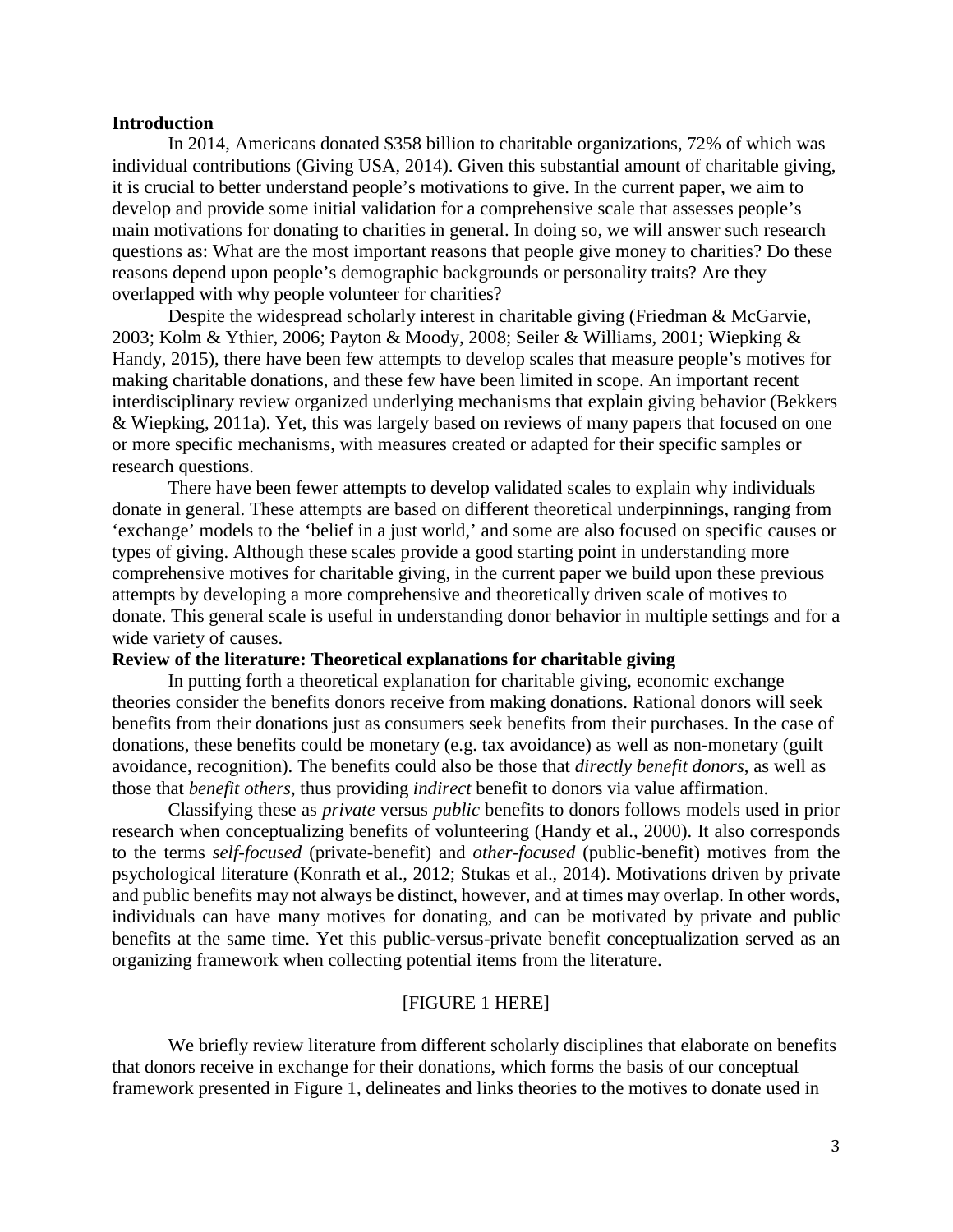#### **Introduction**

In 2014, Americans donated \$358 billion to charitable organizations, 72% of which was individual contributions (Giving USA, 2014). Given this substantial amount of charitable giving, it is crucial to better understand people's motivations to give. In the current paper, we aim to develop and provide some initial validation for a comprehensive scale that assesses people's main motivations for donating to charities in general. In doing so, we will answer such research questions as: What are the most important reasons that people give money to charities? Do these reasons depend upon people's demographic backgrounds or personality traits? Are they overlapped with why people volunteer for charities?

Despite the widespread scholarly interest in charitable giving (Friedman & McGarvie, 2003; Kolm & Ythier, 2006; Payton & Moody, 2008; Seiler & Williams, 2001; Wiepking & Handy, 2015), there have been few attempts to develop scales that measure people's motives for making charitable donations, and these few have been limited in scope. An important recent interdisciplinary review organized underlying mechanisms that explain giving behavior (Bekkers & Wiepking, 2011a). Yet, this was largely based on reviews of many papers that focused on one or more specific mechanisms, with measures created or adapted for their specific samples or research questions.

There have been fewer attempts to develop validated scales to explain why individuals donate in general. These attempts are based on different theoretical underpinnings, ranging from 'exchange' models to the 'belief in a just world,' and some are also focused on specific causes or types of giving. Although these scales provide a good starting point in understanding more comprehensive motives for charitable giving, in the current paper we build upon these previous attempts by developing a more comprehensive and theoretically driven scale of motives to donate. This general scale is useful in understanding donor behavior in multiple settings and for a wide variety of causes.

## **Review of the literature: Theoretical explanations for charitable giving**

In putting forth a theoretical explanation for charitable giving, economic exchange theories consider the benefits donors receive from making donations. Rational donors will seek benefits from their donations just as consumers seek benefits from their purchases. In the case of donations, these benefits could be monetary (e.g. tax avoidance) as well as non-monetary (guilt avoidance, recognition). The benefits could also be those that *directly benefit donors*, as well as those that *benefit others*, thus providing *indirect* benefit to donors via value affirmation.

Classifying these as *private* versus *public* benefits to donors follows models used in prior research when conceptualizing benefits of volunteering (Handy et al., 2000). It also corresponds to the terms *self-focused* (private-benefit) and *other-focused* (public-benefit) motives from the psychological literature (Konrath et al., 2012; Stukas et al., 2014). Motivations driven by private and public benefits may not always be distinct, however, and at times may overlap. In other words, individuals can have many motives for donating, and can be motivated by private and public benefits at the same time. Yet this public-versus-private benefit conceptualization served as an organizing framework when collecting potential items from the literature.

## [FIGURE 1 HERE]

We briefly review literature from different scholarly disciplines that elaborate on benefits that donors receive in exchange for their donations, which forms the basis of our conceptual framework presented in Figure 1, delineates and links theories to the motives to donate used in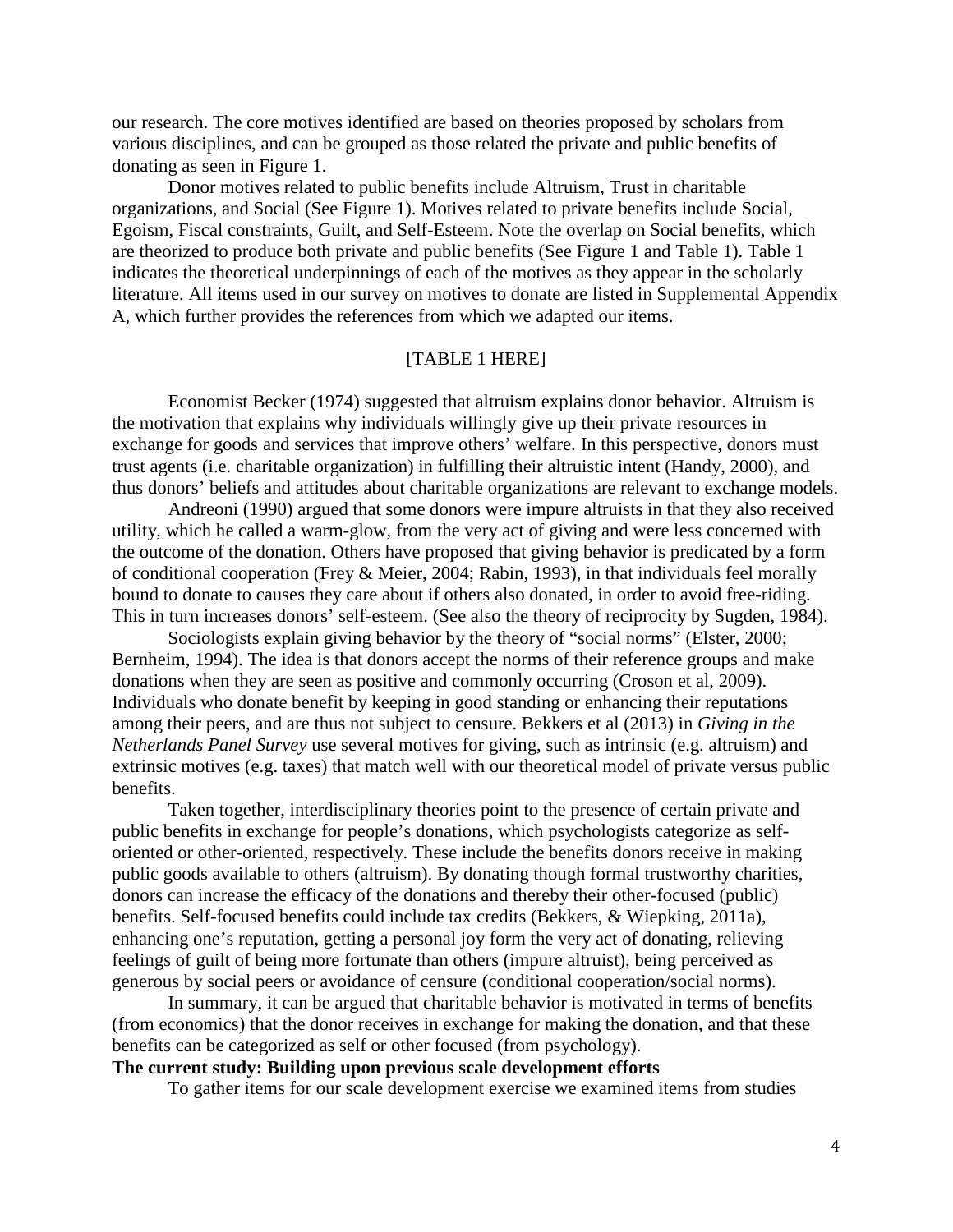our research. The core motives identified are based on theories proposed by scholars from various disciplines, and can be grouped as those related the private and public benefits of donating as seen in Figure 1.

Donor motives related to public benefits include Altruism, Trust in charitable organizations, and Social (See Figure 1). Motives related to private benefits include Social, Egoism, Fiscal constraints, Guilt, and Self-Esteem. Note the overlap on Social benefits, which are theorized to produce both private and public benefits (See Figure 1 and Table 1). Table 1 indicates the theoretical underpinnings of each of the motives as they appear in the scholarly literature. All items used in our survey on motives to donate are listed in Supplemental Appendix A, which further provides the references from which we adapted our items.

# [TABLE 1 HERE]

Economist Becker (1974) suggested that altruism explains donor behavior. Altruism is the motivation that explains why individuals willingly give up their private resources in exchange for goods and services that improve others' welfare. In this perspective, donors must trust agents (i.e. charitable organization) in fulfilling their altruistic intent (Handy, 2000), and thus donors' beliefs and attitudes about charitable organizations are relevant to exchange models.

Andreoni (1990) argued that some donors were impure altruists in that they also received utility, which he called a warm-glow, from the very act of giving and were less concerned with the outcome of the donation. Others have proposed that giving behavior is predicated by a form of conditional cooperation (Frey & Meier, 2004; Rabin, 1993), in that individuals feel morally bound to donate to causes they care about if others also donated, in order to avoid free-riding. This in turn increases donors' self-esteem. (See also the theory of reciprocity by Sugden, 1984).

Sociologists explain giving behavior by the theory of "social norms" (Elster, 2000; Bernheim, 1994). The idea is that donors accept the norms of their reference groups and make donations when they are seen as positive and commonly occurring (Croson et al, 2009). Individuals who donate benefit by keeping in good standing or enhancing their reputations among their peers, and are thus not subject to censure. Bekkers et al (2013) in *Giving in the Netherlands Panel Survey* use several motives for giving, such as intrinsic (e.g. altruism) and extrinsic motives (e.g. taxes) that match well with our theoretical model of private versus public benefits.

Taken together, interdisciplinary theories point to the presence of certain private and public benefits in exchange for people's donations, which psychologists categorize as selforiented or other-oriented, respectively. These include the benefits donors receive in making public goods available to others (altruism). By donating though formal trustworthy charities, donors can increase the efficacy of the donations and thereby their other-focused (public) benefits. Self-focused benefits could include tax credits (Bekkers, & Wiepking, 2011a), enhancing one's reputation, getting a personal joy form the very act of donating, relieving feelings of guilt of being more fortunate than others (impure altruist), being perceived as generous by social peers or avoidance of censure (conditional cooperation/social norms).

In summary, it can be argued that charitable behavior is motivated in terms of benefits (from economics) that the donor receives in exchange for making the donation, and that these benefits can be categorized as self or other focused (from psychology).

# **The current study: Building upon previous scale development efforts**

To gather items for our scale development exercise we examined items from studies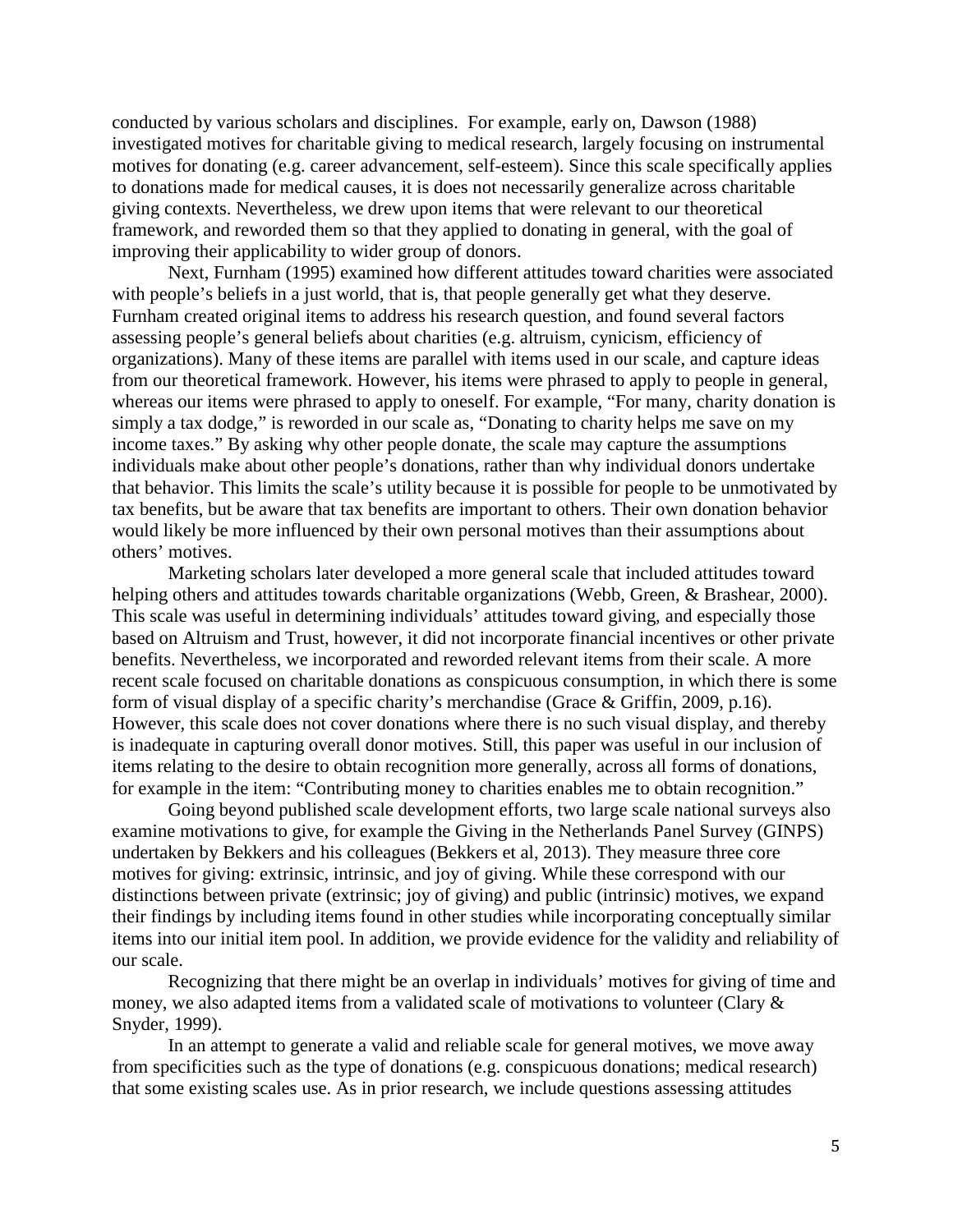conducted by various scholars and disciplines. For example, early on, Dawson (1988) investigated motives for charitable giving to medical research, largely focusing on instrumental motives for donating (e.g. career advancement, self-esteem). Since this scale specifically applies to donations made for medical causes, it is does not necessarily generalize across charitable giving contexts. Nevertheless, we drew upon items that were relevant to our theoretical framework, and reworded them so that they applied to donating in general, with the goal of improving their applicability to wider group of donors.

Next, Furnham (1995) examined how different attitudes toward charities were associated with people's beliefs in a just world, that is, that people generally get what they deserve. Furnham created original items to address his research question, and found several factors assessing people's general beliefs about charities (e.g. altruism, cynicism, efficiency of organizations). Many of these items are parallel with items used in our scale, and capture ideas from our theoretical framework. However, his items were phrased to apply to people in general, whereas our items were phrased to apply to oneself. For example, "For many, charity donation is simply a tax dodge," is reworded in our scale as, "Donating to charity helps me save on my income taxes." By asking why other people donate, the scale may capture the assumptions individuals make about other people's donations, rather than why individual donors undertake that behavior. This limits the scale's utility because it is possible for people to be unmotivated by tax benefits, but be aware that tax benefits are important to others. Their own donation behavior would likely be more influenced by their own personal motives than their assumptions about others' motives.

Marketing scholars later developed a more general scale that included attitudes toward helping others and attitudes towards charitable organizations (Webb, Green, & Brashear, 2000). This scale was useful in determining individuals' attitudes toward giving, and especially those based on Altruism and Trust, however, it did not incorporate financial incentives or other private benefits. Nevertheless, we incorporated and reworded relevant items from their scale. A more recent scale focused on charitable donations as conspicuous consumption, in which there is some form of visual display of a specific charity's merchandise (Grace & Griffin, 2009, p.16). However, this scale does not cover donations where there is no such visual display, and thereby is inadequate in capturing overall donor motives. Still, this paper was useful in our inclusion of items relating to the desire to obtain recognition more generally, across all forms of donations, for example in the item: "Contributing money to charities enables me to obtain recognition."

Going beyond published scale development efforts, two large scale national surveys also examine motivations to give, for example the Giving in the Netherlands Panel Survey (GINPS) undertaken by Bekkers and his colleagues (Bekkers et al, 2013). They measure three core motives for giving: extrinsic, intrinsic, and joy of giving. While these correspond with our distinctions between private (extrinsic; joy of giving) and public (intrinsic) motives, we expand their findings by including items found in other studies while incorporating conceptually similar items into our initial item pool. In addition, we provide evidence for the validity and reliability of our scale.

Recognizing that there might be an overlap in individuals' motives for giving of time and money, we also adapted items from a validated scale of motivations to volunteer (Clary & Snyder, 1999).

In an attempt to generate a valid and reliable scale for general motives, we move away from specificities such as the type of donations (e.g. conspicuous donations; medical research) that some existing scales use. As in prior research, we include questions assessing attitudes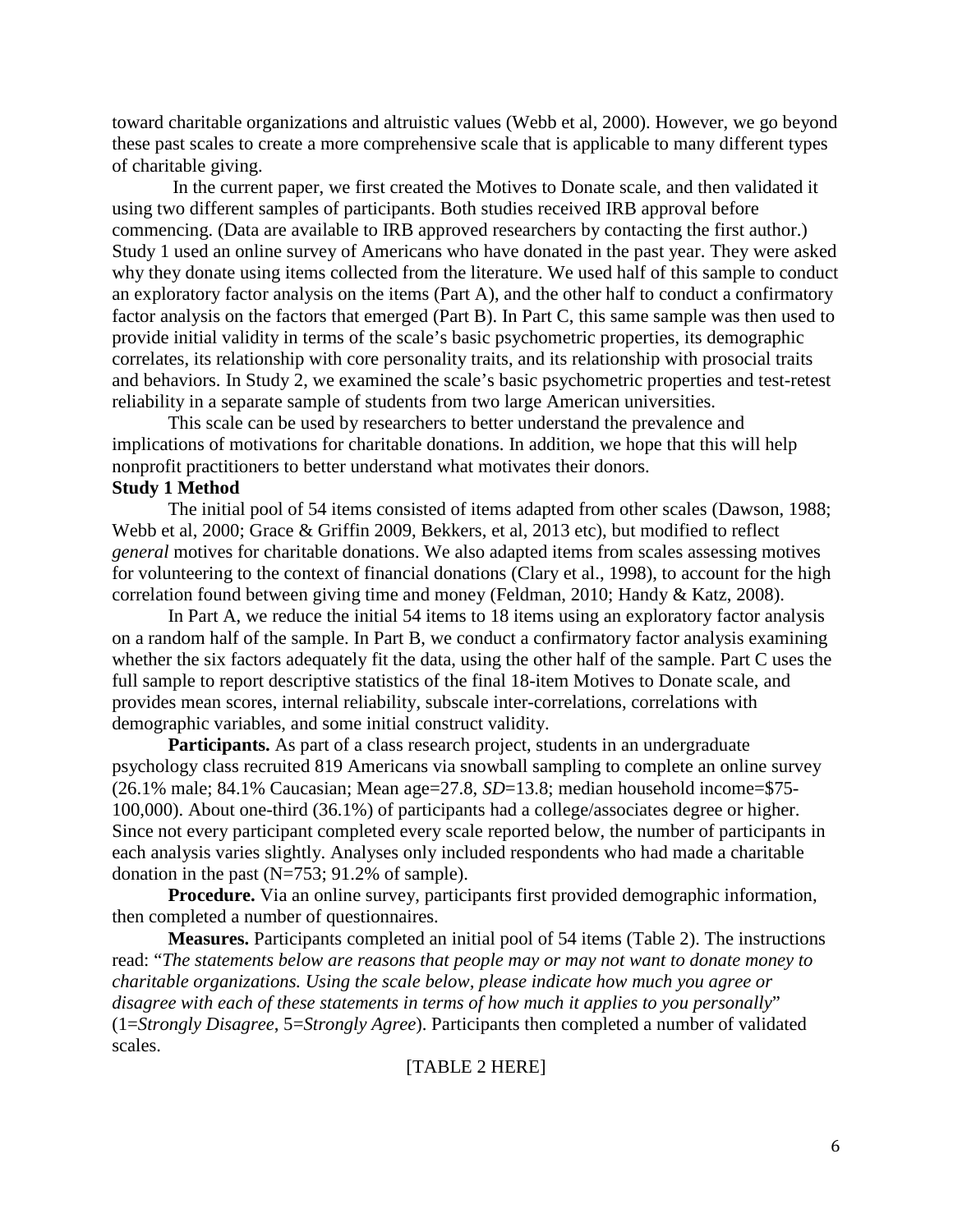toward charitable organizations and altruistic values (Webb et al, 2000). However, we go beyond these past scales to create a more comprehensive scale that is applicable to many different types of charitable giving.

In the current paper, we first created the Motives to Donate scale, and then validated it using two different samples of participants. Both studies received IRB approval before commencing. (Data are available to IRB approved researchers by contacting the first author.) Study 1 used an online survey of Americans who have donated in the past year. They were asked why they donate using items collected from the literature. We used half of this sample to conduct an exploratory factor analysis on the items (Part A), and the other half to conduct a confirmatory factor analysis on the factors that emerged (Part B). In Part C, this same sample was then used to provide initial validity in terms of the scale's basic psychometric properties, its demographic correlates, its relationship with core personality traits, and its relationship with prosocial traits and behaviors. In Study 2, we examined the scale's basic psychometric properties and test-retest reliability in a separate sample of students from two large American universities.

This scale can be used by researchers to better understand the prevalence and implications of motivations for charitable donations. In addition, we hope that this will help nonprofit practitioners to better understand what motivates their donors.

# **Study 1 Method**

The initial pool of 54 items consisted of items adapted from other scales (Dawson, 1988; Webb et al, 2000; Grace & Griffin 2009, Bekkers, et al, 2013 etc), but modified to reflect *general* motives for charitable donations. We also adapted items from scales assessing motives for volunteering to the context of financial donations (Clary et al., 1998), to account for the high correlation found between giving time and money (Feldman, 2010; Handy & Katz, 2008).

In Part A, we reduce the initial 54 items to 18 items using an exploratory factor analysis on a random half of the sample. In Part B, we conduct a confirmatory factor analysis examining whether the six factors adequately fit the data, using the other half of the sample. Part C uses the full sample to report descriptive statistics of the final 18-item Motives to Donate scale, and provides mean scores, internal reliability, subscale inter-correlations, correlations with demographic variables, and some initial construct validity.

**Participants.** As part of a class research project, students in an undergraduate psychology class recruited 819 Americans via snowball sampling to complete an online survey (26.1% male; 84.1% Caucasian; Mean age=27.8, *SD*=13.8; median household income=\$75- 100,000). About one-third (36.1%) of participants had a college/associates degree or higher. Since not every participant completed every scale reported below, the number of participants in each analysis varies slightly. Analyses only included respondents who had made a charitable donation in the past  $(N=753; 91.2%$  of sample).

**Procedure.** Via an online survey, participants first provided demographic information, then completed a number of questionnaires.

**Measures.** Participants completed an initial pool of 54 items (Table 2). The instructions read: "*The statements below are reasons that people may or may not want to donate money to charitable organizations. Using the scale below, please indicate how much you agree or disagree with each of these statements in terms of how much it applies to you personally*" (1=*Strongly Disagree*, 5=*Strongly Agree*). Participants then completed a number of validated scales.

# [TABLE 2 HERE]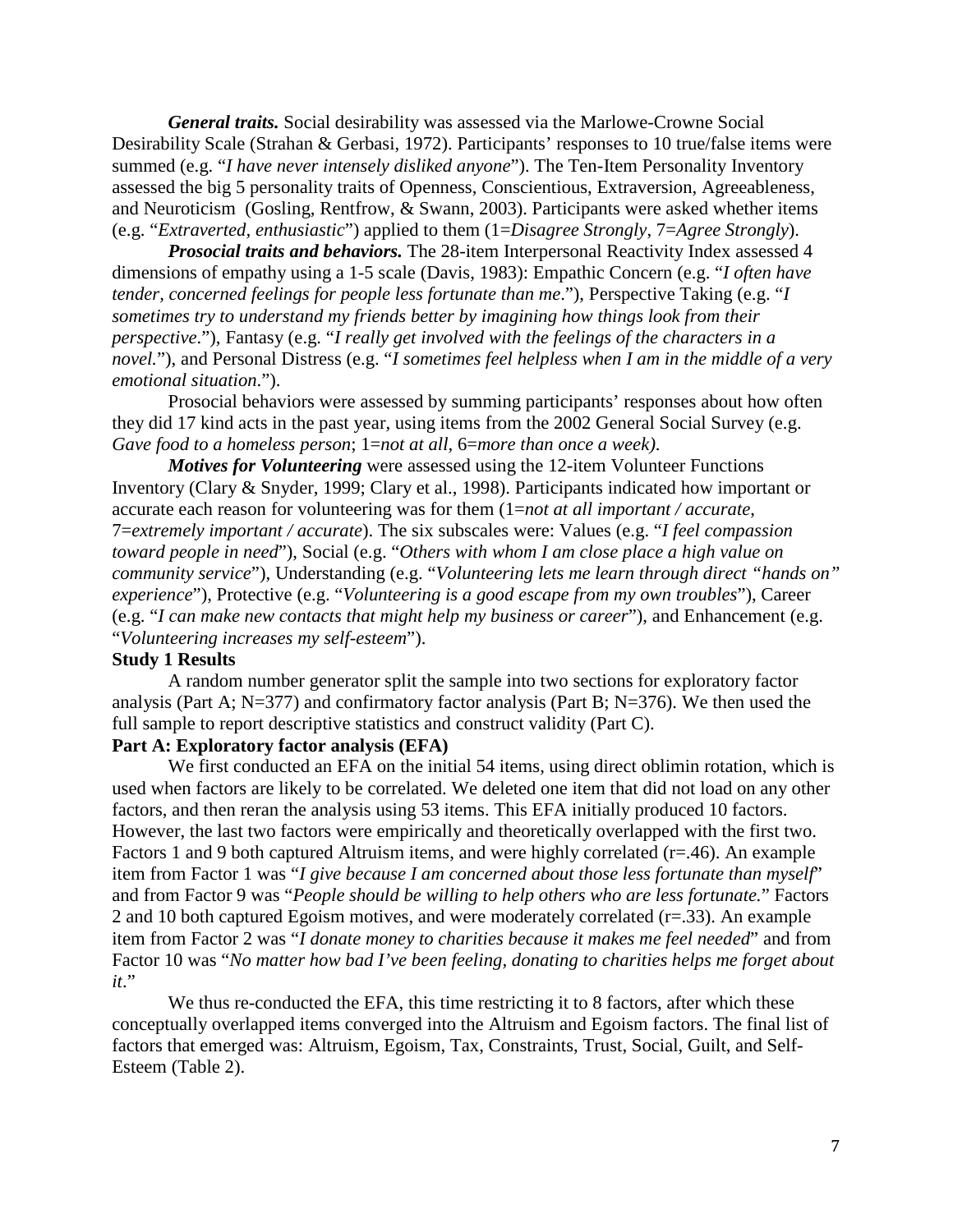*General traits.* Social desirability was assessed via the Marlowe-Crowne Social Desirability Scale (Strahan & Gerbasi, 1972). Participants' responses to 10 true/false items were summed (e.g. "*I have never intensely disliked anyone*"). The Ten-Item Personality Inventory assessed the big 5 personality traits of Openness, Conscientious, Extraversion, Agreeableness, and Neuroticism (Gosling, Rentfrow, & Swann, 2003). Participants were asked whether items (e.g. "*Extraverted, enthusiastic*") applied to them (1=*Disagree Strongly*, 7=*Agree Strongly*).

*Prosocial traits and behaviors.* The 28-item Interpersonal Reactivity Index assessed 4 dimensions of empathy using a 1-5 scale (Davis, 1983): Empathic Concern (e.g. "*I often have tender, concerned feelings for people less fortunate than me*."), Perspective Taking (e.g. "*I sometimes try to understand my friends better by imagining how things look from their perspective*."), Fantasy (e.g. "*I really get involved with the feelings of the characters in a novel.*"), and Personal Distress (e.g. "*I sometimes feel helpless when I am in the middle of a very emotional situation*.").

Prosocial behaviors were assessed by summing participants' responses about how often they did 17 kind acts in the past year, using items from the 2002 General Social Survey (e.g. *Gave food to a homeless person*; 1=*not at all,* 6=*more than once a week)*.

*Motives for Volunteering* were assessed using the 12-item Volunteer Functions Inventory (Clary & Snyder, 1999; Clary et al., 1998). Participants indicated how important or accurate each reason for volunteering was for them (1=*not at all important / accurate*, 7=*extremely important / accurate*). The six subscales were: Values (e.g. "*I feel compassion toward people in need*"), Social (e.g. "*Others with whom I am close place a high value on community service*"), Understanding (e.g. "*Volunteering lets me learn through direct "hands on" experience*"), Protective (e.g. "*Volunteering is a good escape from my own troubles*"), Career (e.g. "*I can make new contacts that might help my business or career*"), and Enhancement (e.g. "*Volunteering increases my self-esteem*").

## **Study 1 Results**

A random number generator split the sample into two sections for exploratory factor analysis (Part A; N=377) and confirmatory factor analysis (Part B; N=376). We then used the full sample to report descriptive statistics and construct validity (Part C).

## **Part A: Exploratory factor analysis (EFA)**

We first conducted an EFA on the initial 54 items, using direct oblimin rotation, which is used when factors are likely to be correlated. We deleted one item that did not load on any other factors, and then reran the analysis using 53 items. This EFA initially produced 10 factors. However, the last two factors were empirically and theoretically overlapped with the first two. Factors 1 and 9 both captured Altruism items, and were highly correlated (r=.46). An example item from Factor 1 was "*I give because I am concerned about those less fortunate than myself*" and from Factor 9 was "*People should be willing to help others who are less fortunate.*" Factors 2 and 10 both captured Egoism motives, and were moderately correlated (r=.33). An example item from Factor 2 was "*I donate money to charities because it makes me feel needed*" and from Factor 10 was "*No matter how bad I've been feeling, donating to charities helps me forget about it*."

We thus re-conducted the EFA, this time restricting it to 8 factors, after which these conceptually overlapped items converged into the Altruism and Egoism factors. The final list of factors that emerged was: Altruism, Egoism, Tax, Constraints, Trust, Social, Guilt, and Self-Esteem (Table 2).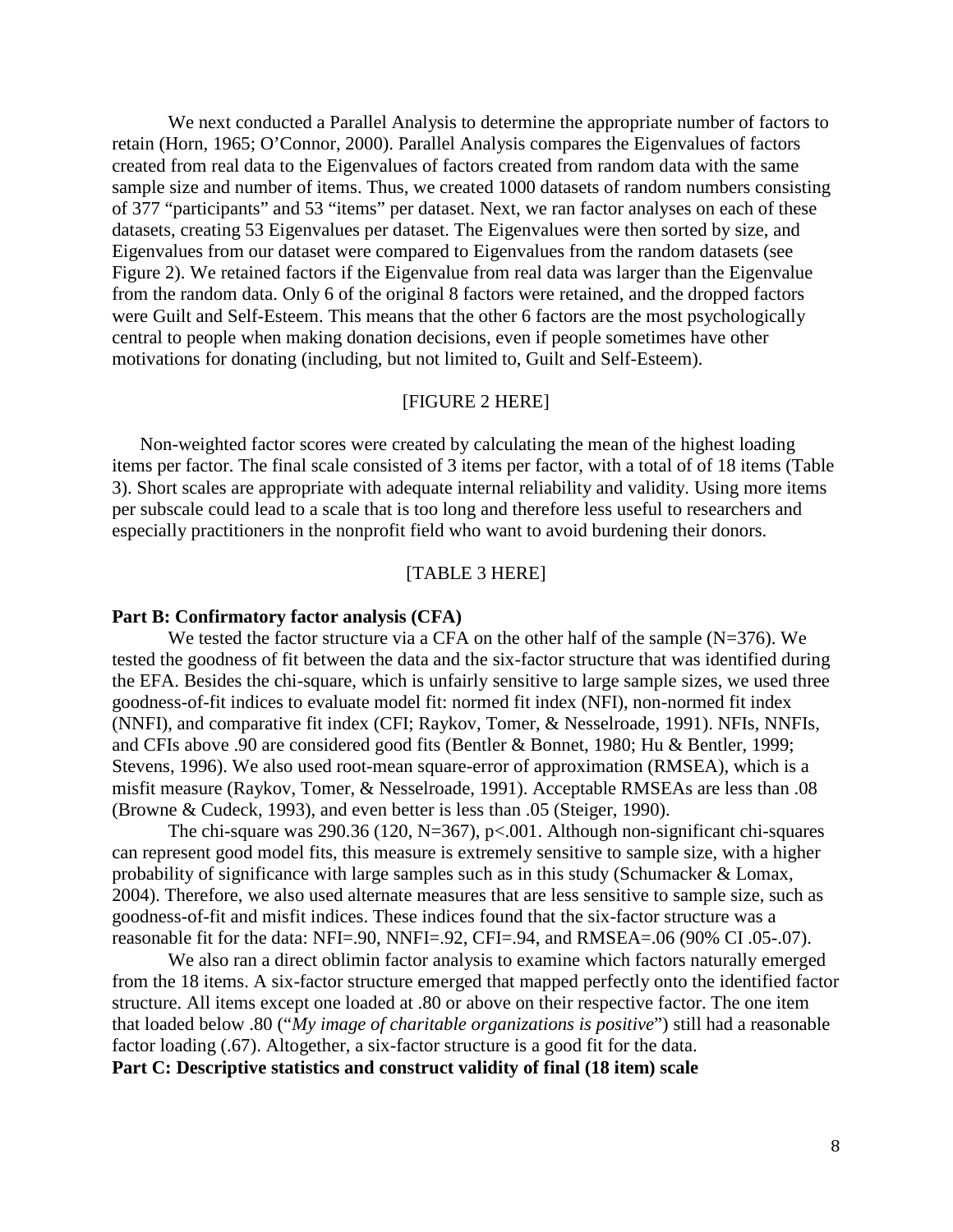We next conducted a Parallel Analysis to determine the appropriate number of factors to retain (Horn, 1965; O'Connor, 2000). Parallel Analysis compares the Eigenvalues of factors created from real data to the Eigenvalues of factors created from random data with the same sample size and number of items. Thus, we created 1000 datasets of random numbers consisting of 377 "participants" and 53 "items" per dataset. Next, we ran factor analyses on each of these datasets, creating 53 Eigenvalues per dataset. The Eigenvalues were then sorted by size, and Eigenvalues from our dataset were compared to Eigenvalues from the random datasets (see Figure 2). We retained factors if the Eigenvalue from real data was larger than the Eigenvalue from the random data. Only 6 of the original 8 factors were retained, and the dropped factors were Guilt and Self-Esteem. This means that the other 6 factors are the most psychologically central to people when making donation decisions, even if people sometimes have other motivations for donating (including, but not limited to, Guilt and Self-Esteem).

## [FIGURE 2 HERE]

 Non-weighted factor scores were created by calculating the mean of the highest loading items per factor. The final scale consisted of 3 items per factor, with a total of of 18 items (Table 3). Short scales are appropriate with adequate internal reliability and validity. Using more items per subscale could lead to a scale that is too long and therefore less useful to researchers and especially practitioners in the nonprofit field who want to avoid burdening their donors.

## [TABLE 3 HERE]

#### **Part B: Confirmatory factor analysis (CFA)**

We tested the factor structure via a CFA on the other half of the sample (N=376). We tested the goodness of fit between the data and the six-factor structure that was identified during the EFA. Besides the chi-square, which is unfairly sensitive to large sample sizes, we used three goodness-of-fit indices to evaluate model fit: normed fit index (NFI), non-normed fit index (NNFI), and comparative fit index (CFI; Raykov, Tomer, & Nesselroade, 1991). NFIs, NNFIs, and CFIs above .90 are considered good fits (Bentler & Bonnet, 1980; Hu & Bentler, 1999; Stevens, 1996). We also used root-mean square-error of approximation (RMSEA), which is a misfit measure (Raykov, Tomer, & Nesselroade, 1991). Acceptable RMSEAs are less than .08 (Browne & Cudeck, 1993), and even better is less than .05 (Steiger, 1990).

The chi-square was 290.36 (120, N=367), p<.001. Although non-significant chi-squares can represent good model fits, this measure is extremely sensitive to sample size, with a higher probability of significance with large samples such as in this study (Schumacker & Lomax, 2004). Therefore, we also used alternate measures that are less sensitive to sample size, such as goodness-of-fit and misfit indices. These indices found that the six-factor structure was a reasonable fit for the data: NFI=.90, NNFI=.92, CFI=.94, and RMSEA=.06 (90% CI .05-.07).

We also ran a direct oblimin factor analysis to examine which factors naturally emerged from the 18 items. A six-factor structure emerged that mapped perfectly onto the identified factor structure. All items except one loaded at .80 or above on their respective factor. The one item that loaded below .80 ("*My image of charitable organizations is positive*") still had a reasonable factor loading (.67). Altogether, a six-factor structure is a good fit for the data. **Part C: Descriptive statistics and construct validity of final (18 item) scale**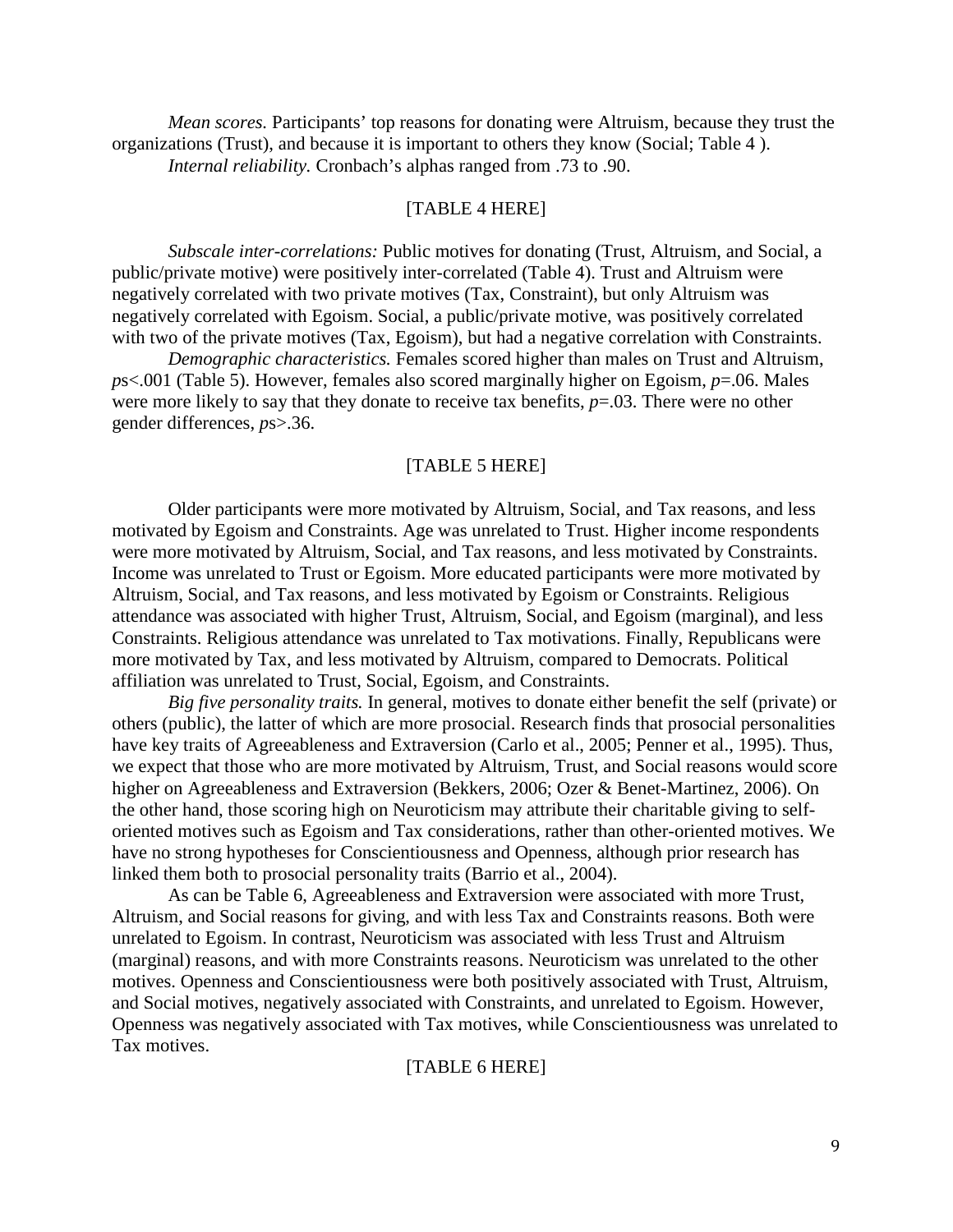*Mean scores.* Participants' top reasons for donating were Altruism, because they trust the organizations (Trust), and because it is important to others they know (Social; Table 4 ). *Internal reliability.* Cronbach's alphas ranged from .73 to .90.

## [TABLE 4 HERE]

*Subscale inter-correlations:* Public motives for donating (Trust, Altruism, and Social, a public/private motive) were positively inter-correlated (Table 4). Trust and Altruism were negatively correlated with two private motives (Tax, Constraint), but only Altruism was negatively correlated with Egoism. Social, a public/private motive, was positively correlated with two of the private motives (Tax, Egoism), but had a negative correlation with Constraints.

*Demographic characteristics.* Females scored higher than males on Trust and Altruism, *p*s<.001 (Table 5). However, females also scored marginally higher on Egoism, *p*=.06. Males were more likely to say that they donate to receive tax benefits, *p*=.03. There were no other gender differences, *p*s>.36.

#### [TABLE 5 HERE]

Older participants were more motivated by Altruism, Social, and Tax reasons, and less motivated by Egoism and Constraints. Age was unrelated to Trust. Higher income respondents were more motivated by Altruism, Social, and Tax reasons, and less motivated by Constraints. Income was unrelated to Trust or Egoism. More educated participants were more motivated by Altruism, Social, and Tax reasons, and less motivated by Egoism or Constraints. Religious attendance was associated with higher Trust, Altruism, Social, and Egoism (marginal), and less Constraints. Religious attendance was unrelated to Tax motivations. Finally, Republicans were more motivated by Tax, and less motivated by Altruism, compared to Democrats. Political affiliation was unrelated to Trust, Social, Egoism, and Constraints.

*Big five personality traits.* In general, motives to donate either benefit the self (private) or others (public), the latter of which are more prosocial. Research finds that prosocial personalities have key traits of Agreeableness and Extraversion (Carlo et al., 2005; Penner et al., 1995). Thus, we expect that those who are more motivated by Altruism, Trust, and Social reasons would score higher on Agreeableness and Extraversion (Bekkers, 2006; Ozer & Benet-Martinez, 2006). On the other hand, those scoring high on Neuroticism may attribute their charitable giving to selforiented motives such as Egoism and Tax considerations, rather than other-oriented motives. We have no strong hypotheses for Conscientiousness and Openness, although prior research has linked them both to prosocial personality traits (Barrio et al., 2004).

As can be Table 6, Agreeableness and Extraversion were associated with more Trust, Altruism, and Social reasons for giving, and with less Tax and Constraints reasons. Both were unrelated to Egoism. In contrast, Neuroticism was associated with less Trust and Altruism (marginal) reasons, and with more Constraints reasons. Neuroticism was unrelated to the other motives. Openness and Conscientiousness were both positively associated with Trust, Altruism, and Social motives, negatively associated with Constraints, and unrelated to Egoism. However, Openness was negatively associated with Tax motives, while Conscientiousness was unrelated to Tax motives.

#### [TABLE 6 HERE]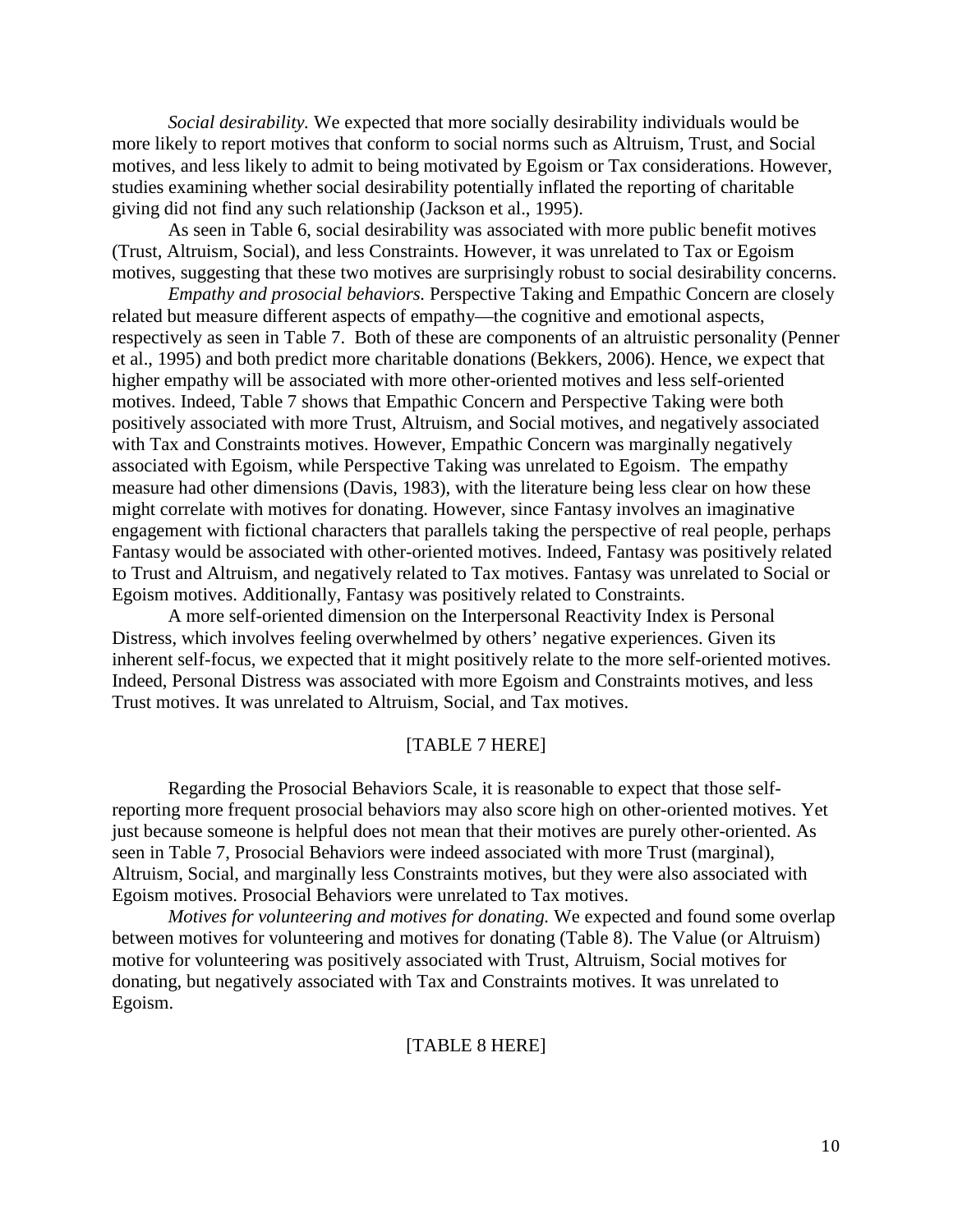*Social desirability.* We expected that more socially desirability individuals would be more likely to report motives that conform to social norms such as Altruism, Trust, and Social motives, and less likely to admit to being motivated by Egoism or Tax considerations. However, studies examining whether social desirability potentially inflated the reporting of charitable giving did not find any such relationship (Jackson et al., 1995).

As seen in Table 6, social desirability was associated with more public benefit motives (Trust, Altruism, Social), and less Constraints. However, it was unrelated to Tax or Egoism motives, suggesting that these two motives are surprisingly robust to social desirability concerns.

*Empathy and prosocial behaviors.* Perspective Taking and Empathic Concern are closely related but measure different aspects of empathy—the cognitive and emotional aspects, respectively as seen in Table 7. Both of these are components of an altruistic personality (Penner et al., 1995) and both predict more charitable donations (Bekkers, 2006). Hence, we expect that higher empathy will be associated with more other-oriented motives and less self-oriented motives. Indeed, Table 7 shows that Empathic Concern and Perspective Taking were both positively associated with more Trust, Altruism, and Social motives, and negatively associated with Tax and Constraints motives. However, Empathic Concern was marginally negatively associated with Egoism, while Perspective Taking was unrelated to Egoism. The empathy measure had other dimensions (Davis, 1983), with the literature being less clear on how these might correlate with motives for donating. However, since Fantasy involves an imaginative engagement with fictional characters that parallels taking the perspective of real people, perhaps Fantasy would be associated with other-oriented motives. Indeed, Fantasy was positively related to Trust and Altruism, and negatively related to Tax motives. Fantasy was unrelated to Social or Egoism motives. Additionally, Fantasy was positively related to Constraints.

A more self-oriented dimension on the Interpersonal Reactivity Index is Personal Distress, which involves feeling overwhelmed by others' negative experiences. Given its inherent self-focus, we expected that it might positively relate to the more self-oriented motives. Indeed, Personal Distress was associated with more Egoism and Constraints motives, and less Trust motives. It was unrelated to Altruism, Social, and Tax motives.

## [TABLE 7 HERE]

Regarding the Prosocial Behaviors Scale, it is reasonable to expect that those selfreporting more frequent prosocial behaviors may also score high on other-oriented motives. Yet just because someone is helpful does not mean that their motives are purely other-oriented. As seen in Table 7, Prosocial Behaviors were indeed associated with more Trust (marginal), Altruism, Social, and marginally less Constraints motives, but they were also associated with Egoism motives. Prosocial Behaviors were unrelated to Tax motives.

*Motives for volunteering and motives for donating.* We expected and found some overlap between motives for volunteering and motives for donating (Table 8). The Value (or Altruism) motive for volunteering was positively associated with Trust, Altruism, Social motives for donating, but negatively associated with Tax and Constraints motives. It was unrelated to Egoism.

## [TABLE 8 HERE]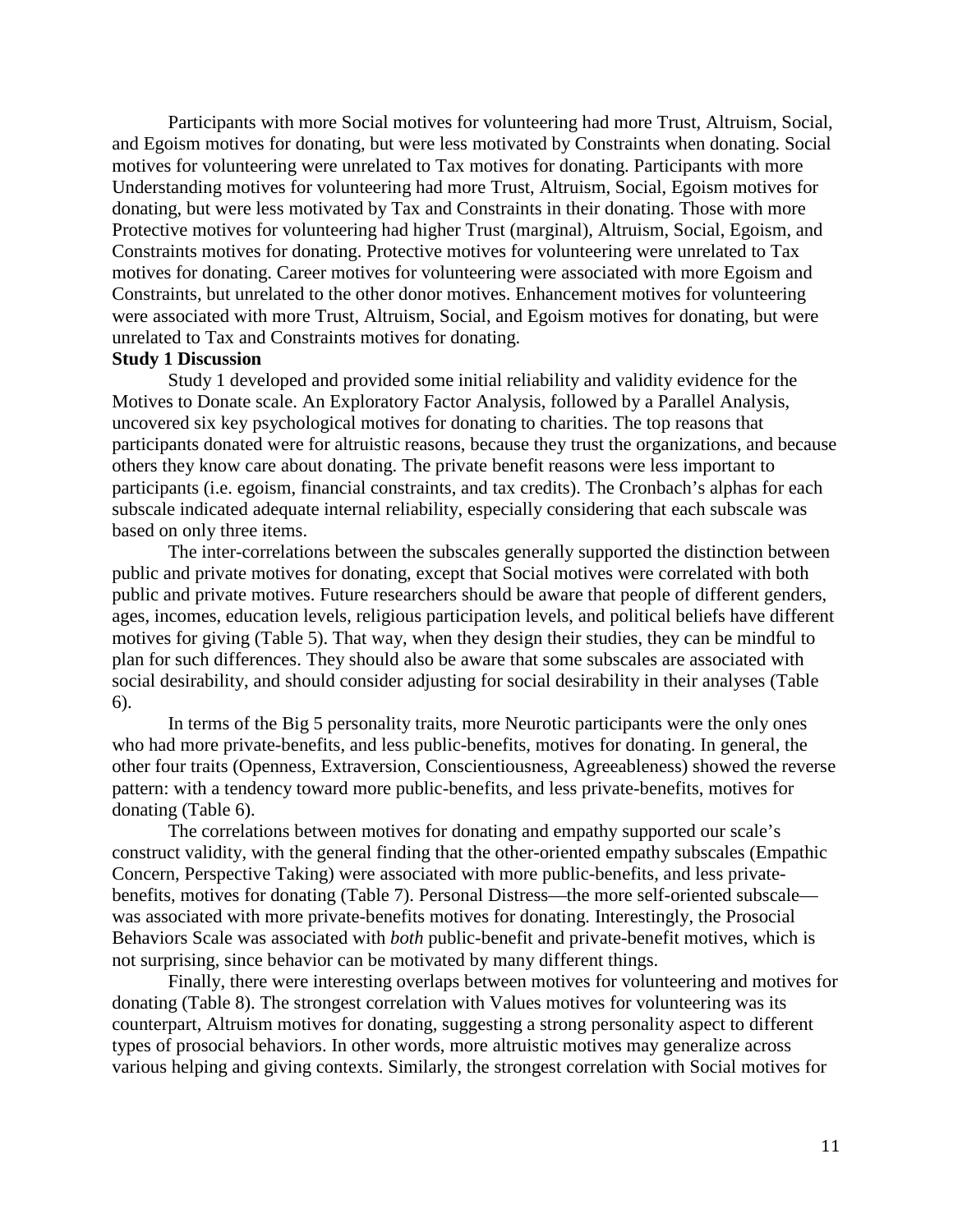Participants with more Social motives for volunteering had more Trust, Altruism, Social, and Egoism motives for donating, but were less motivated by Constraints when donating. Social motives for volunteering were unrelated to Tax motives for donating. Participants with more Understanding motives for volunteering had more Trust, Altruism, Social, Egoism motives for donating, but were less motivated by Tax and Constraints in their donating. Those with more Protective motives for volunteering had higher Trust (marginal), Altruism, Social, Egoism, and Constraints motives for donating. Protective motives for volunteering were unrelated to Tax motives for donating. Career motives for volunteering were associated with more Egoism and Constraints, but unrelated to the other donor motives. Enhancement motives for volunteering were associated with more Trust, Altruism, Social, and Egoism motives for donating, but were unrelated to Tax and Constraints motives for donating.

## **Study 1 Discussion**

Study 1 developed and provided some initial reliability and validity evidence for the Motives to Donate scale. An Exploratory Factor Analysis, followed by a Parallel Analysis, uncovered six key psychological motives for donating to charities. The top reasons that participants donated were for altruistic reasons, because they trust the organizations, and because others they know care about donating. The private benefit reasons were less important to participants (i.e. egoism, financial constraints, and tax credits). The Cronbach's alphas for each subscale indicated adequate internal reliability, especially considering that each subscale was based on only three items.

The inter-correlations between the subscales generally supported the distinction between public and private motives for donating, except that Social motives were correlated with both public and private motives. Future researchers should be aware that people of different genders, ages, incomes, education levels, religious participation levels, and political beliefs have different motives for giving (Table 5). That way, when they design their studies, they can be mindful to plan for such differences. They should also be aware that some subscales are associated with social desirability, and should consider adjusting for social desirability in their analyses (Table 6).

In terms of the Big 5 personality traits, more Neurotic participants were the only ones who had more private-benefits, and less public-benefits, motives for donating. In general, the other four traits (Openness, Extraversion, Conscientiousness, Agreeableness) showed the reverse pattern: with a tendency toward more public-benefits, and less private-benefits, motives for donating (Table 6).

The correlations between motives for donating and empathy supported our scale's construct validity, with the general finding that the other-oriented empathy subscales (Empathic Concern, Perspective Taking) were associated with more public-benefits, and less privatebenefits, motives for donating (Table 7). Personal Distress—the more self-oriented subscale was associated with more private-benefits motives for donating. Interestingly, the Prosocial Behaviors Scale was associated with *both* public-benefit and private-benefit motives, which is not surprising, since behavior can be motivated by many different things.

Finally, there were interesting overlaps between motives for volunteering and motives for donating (Table 8). The strongest correlation with Values motives for volunteering was its counterpart, Altruism motives for donating, suggesting a strong personality aspect to different types of prosocial behaviors. In other words, more altruistic motives may generalize across various helping and giving contexts. Similarly, the strongest correlation with Social motives for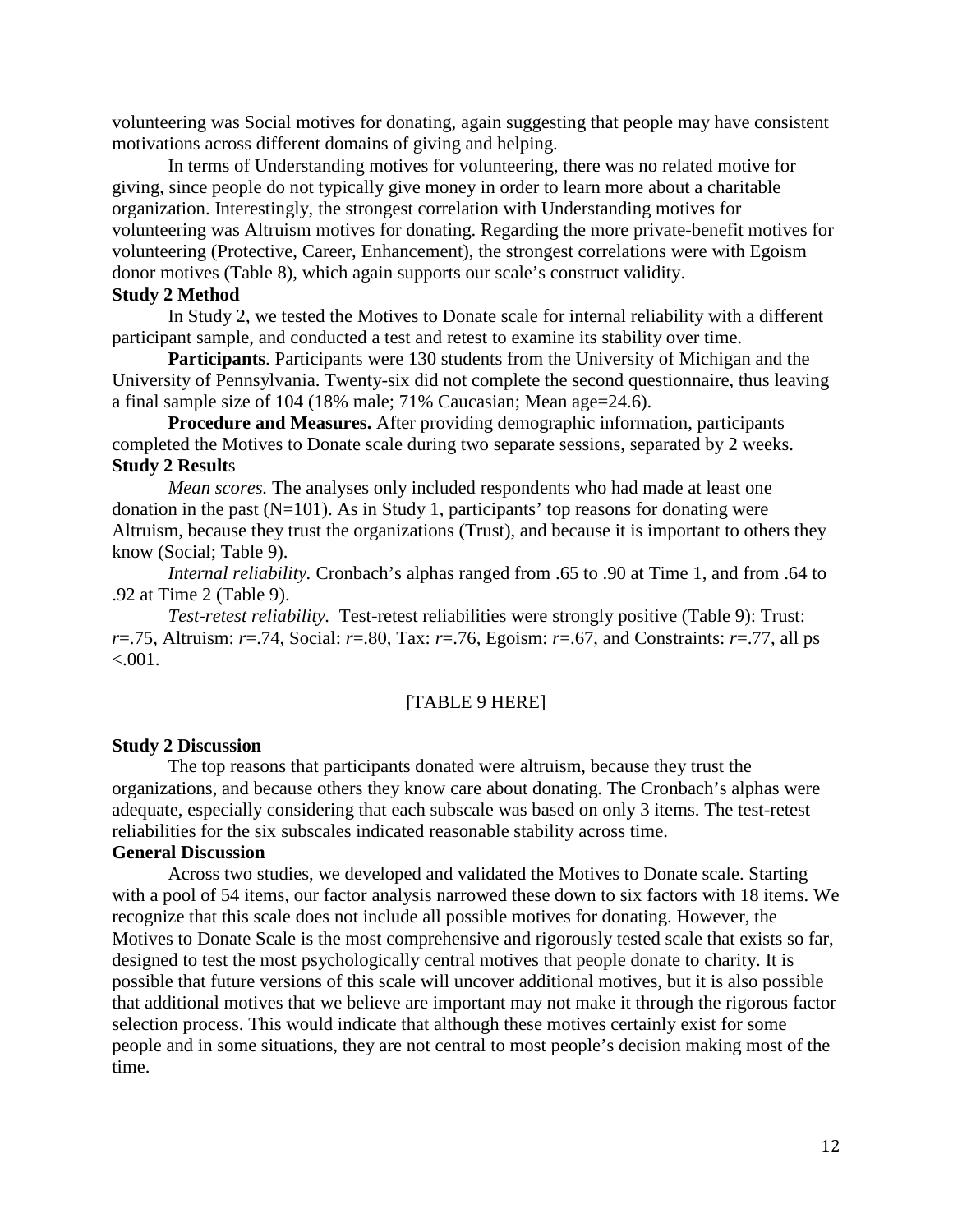volunteering was Social motives for donating, again suggesting that people may have consistent motivations across different domains of giving and helping.

In terms of Understanding motives for volunteering, there was no related motive for giving, since people do not typically give money in order to learn more about a charitable organization. Interestingly, the strongest correlation with Understanding motives for volunteering was Altruism motives for donating. Regarding the more private-benefit motives for volunteering (Protective, Career, Enhancement), the strongest correlations were with Egoism donor motives (Table 8), which again supports our scale's construct validity.

#### **Study 2 Method**

In Study 2, we tested the Motives to Donate scale for internal reliability with a different participant sample, and conducted a test and retest to examine its stability over time.

**Participants**. Participants were 130 students from the University of Michigan and the University of Pennsylvania. Twenty-six did not complete the second questionnaire, thus leaving a final sample size of 104 (18% male; 71% Caucasian; Mean age=24.6).

**Procedure and Measures.** After providing demographic information, participants completed the Motives to Donate scale during two separate sessions, separated by 2 weeks. **Study 2 Result**s

*Mean scores.* The analyses only included respondents who had made at least one donation in the past  $(N=101)$ . As in Study 1, participants' top reasons for donating were Altruism, because they trust the organizations (Trust), and because it is important to others they know (Social; Table 9).

*Internal reliability.* Cronbach's alphas ranged from .65 to .90 at Time 1, and from .64 to .92 at Time 2 (Table 9).

*Test-retest reliability.* Test-retest reliabilities were strongly positive (Table 9): Trust: *r*=.75, Altruism: *r*=.74, Social: *r*=.80, Tax: *r*=.76, Egoism: *r*=.67, and Constraints: *r*=.77, all ps  $< 0.001$ .

### [TABLE 9 HERE]

#### **Study 2 Discussion**

The top reasons that participants donated were altruism, because they trust the organizations, and because others they know care about donating. The Cronbach's alphas were adequate, especially considering that each subscale was based on only 3 items. The test-retest reliabilities for the six subscales indicated reasonable stability across time.

#### **General Discussion**

Across two studies, we developed and validated the Motives to Donate scale. Starting with a pool of 54 items, our factor analysis narrowed these down to six factors with 18 items. We recognize that this scale does not include all possible motives for donating. However, the Motives to Donate Scale is the most comprehensive and rigorously tested scale that exists so far, designed to test the most psychologically central motives that people donate to charity. It is possible that future versions of this scale will uncover additional motives, but it is also possible that additional motives that we believe are important may not make it through the rigorous factor selection process. This would indicate that although these motives certainly exist for some people and in some situations, they are not central to most people's decision making most of the time.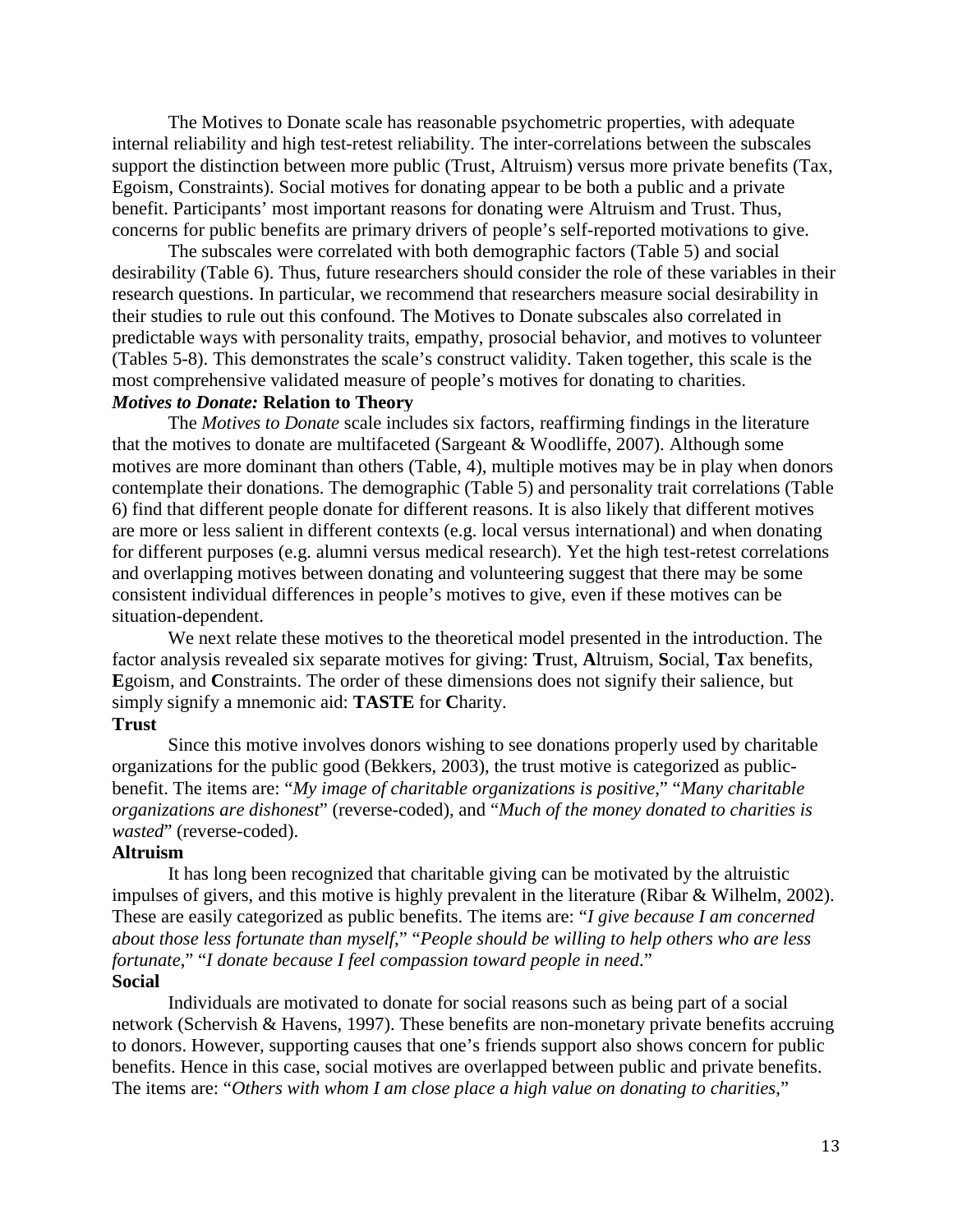The Motives to Donate scale has reasonable psychometric properties, with adequate internal reliability and high test-retest reliability. The inter-correlations between the subscales support the distinction between more public (Trust, Altruism) versus more private benefits (Tax, Egoism, Constraints). Social motives for donating appear to be both a public and a private benefit. Participants' most important reasons for donating were Altruism and Trust. Thus, concerns for public benefits are primary drivers of people's self-reported motivations to give.

The subscales were correlated with both demographic factors (Table 5) and social desirability (Table 6). Thus, future researchers should consider the role of these variables in their research questions. In particular, we recommend that researchers measure social desirability in their studies to rule out this confound. The Motives to Donate subscales also correlated in predictable ways with personality traits, empathy, prosocial behavior, and motives to volunteer (Tables 5-8). This demonstrates the scale's construct validity. Taken together, this scale is the most comprehensive validated measure of people's motives for donating to charities.

# *Motives to Donate:* **Relation to Theory**

The *Motives to Donate* scale includes six factors, reaffirming findings in the literature that the motives to donate are multifaceted (Sargeant & Woodliffe, 2007). Although some motives are more dominant than others (Table, 4), multiple motives may be in play when donors contemplate their donations. The demographic (Table 5) and personality trait correlations (Table 6) find that different people donate for different reasons. It is also likely that different motives are more or less salient in different contexts (e.g. local versus international) and when donating for different purposes (e.g. alumni versus medical research). Yet the high test-retest correlations and overlapping motives between donating and volunteering suggest that there may be some consistent individual differences in people's motives to give, even if these motives can be situation-dependent.

We next relate these motives to the theoretical model presented in the introduction. The factor analysis revealed six separate motives for giving: **T**rust, **A**ltruism, **S**ocial, **T**ax benefits, **E**goism, and **C**onstraints. The order of these dimensions does not signify their salience, but simply signify a mnemonic aid: **TASTE** for **C**harity.

#### **Trust**

Since this motive involves donors wishing to see donations properly used by charitable organizations for the public good (Bekkers, 2003), the trust motive is categorized as publicbenefit. The items are: "*My image of charitable organizations is positive*," "*Many charitable organizations are dishonest*" (reverse-coded), and "*Much of the money donated to charities is wasted*" (reverse-coded).

#### **Altruism**

It has long been recognized that charitable giving can be motivated by the altruistic impulses of givers, and this motive is highly prevalent in the literature (Ribar & Wilhelm, 2002). These are easily categorized as public benefits. The items are: "*I give because I am concerned about those less fortunate than myself*," "*People should be willing to help others who are less fortunate*," "*I donate because I feel compassion toward people in need*." **Social** 

Individuals are motivated to donate for social reasons such as being part of a social network (Schervish & Havens, 1997). These benefits are non-monetary private benefits accruing to donors. However, supporting causes that one's friends support also shows concern for public benefits. Hence in this case, social motives are overlapped between public and private benefits. The items are: "*Others with whom I am close place a high value on donating to charities*,"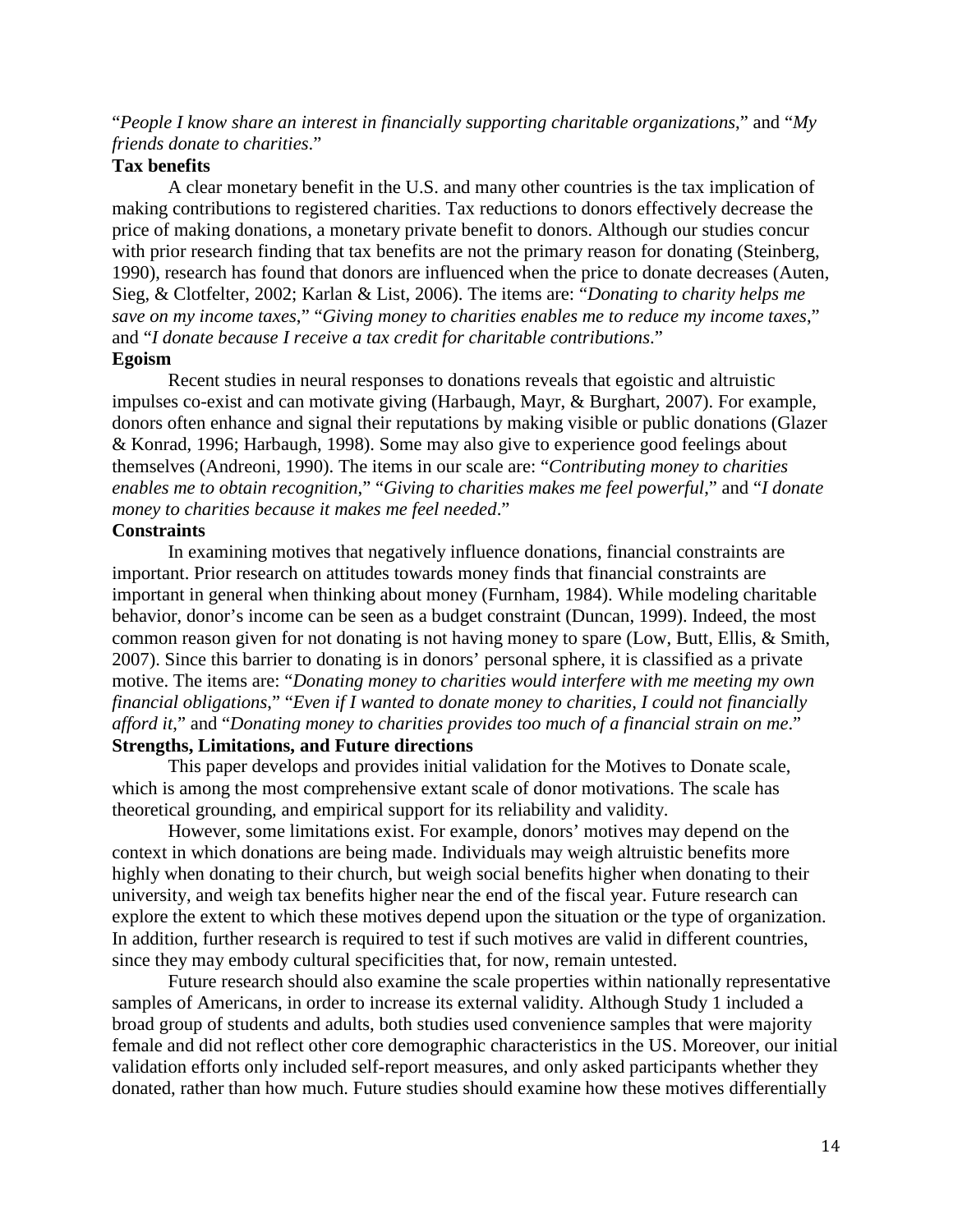"*People I know share an interest in financially supporting charitable organizations*," and "*My friends donate to charities*."

# **Tax benefits**

A clear monetary benefit in the U.S. and many other countries is the tax implication of making contributions to registered charities. Tax reductions to donors effectively decrease the price of making donations, a monetary private benefit to donors. Although our studies concur with prior research finding that tax benefits are not the primary reason for donating (Steinberg, 1990), research has found that donors are influenced when the price to donate decreases (Auten, Sieg, & Clotfelter, 2002; Karlan & List, 2006). The items are: "*Donating to charity helps me save on my income taxes*," "*Giving money to charities enables me to reduce my income taxes*," and "*I donate because I receive a tax credit for charitable contributions*." **Egoism**

# Recent studies in neural responses to donations reveals that egoistic and altruistic impulses co-exist and can motivate giving (Harbaugh, Mayr, & Burghart, 2007). For example, donors often enhance and signal their reputations by making visible or public donations (Glazer & Konrad, 1996; Harbaugh, 1998). Some may also give to experience good feelings about themselves (Andreoni, 1990). The items in our scale are: "*Contributing money to charities enables me to obtain recognition*," "*Giving to charities makes me feel powerful*," and "*I donate money to charities because it makes me feel needed*."

### **Constraints**

In examining motives that negatively influence donations, financial constraints are important. Prior research on attitudes towards money finds that financial constraints are important in general when thinking about money (Furnham, 1984). While modeling charitable behavior, donor's income can be seen as a budget constraint (Duncan, 1999). Indeed, the most common reason given for not donating is not having money to spare (Low, Butt, Ellis, & Smith, 2007). Since this barrier to donating is in donors' personal sphere, it is classified as a private motive. The items are: "*Donating money to charities would interfere with me meeting my own financial obligations*," "*Even if I wanted to donate money to charities, I could not financially afford it*," and "*Donating money to charities provides too much of a financial strain on me*." **Strengths, Limitations, and Future directions**

This paper develops and provides initial validation for the Motives to Donate scale, which is among the most comprehensive extant scale of donor motivations. The scale has theoretical grounding, and empirical support for its reliability and validity.

However, some limitations exist. For example, donors' motives may depend on the context in which donations are being made. Individuals may weigh altruistic benefits more highly when donating to their church, but weigh social benefits higher when donating to their university, and weigh tax benefits higher near the end of the fiscal year. Future research can explore the extent to which these motives depend upon the situation or the type of organization. In addition, further research is required to test if such motives are valid in different countries, since they may embody cultural specificities that, for now, remain untested.

Future research should also examine the scale properties within nationally representative samples of Americans, in order to increase its external validity. Although Study 1 included a broad group of students and adults, both studies used convenience samples that were majority female and did not reflect other core demographic characteristics in the US. Moreover, our initial validation efforts only included self-report measures, and only asked participants whether they donated, rather than how much. Future studies should examine how these motives differentially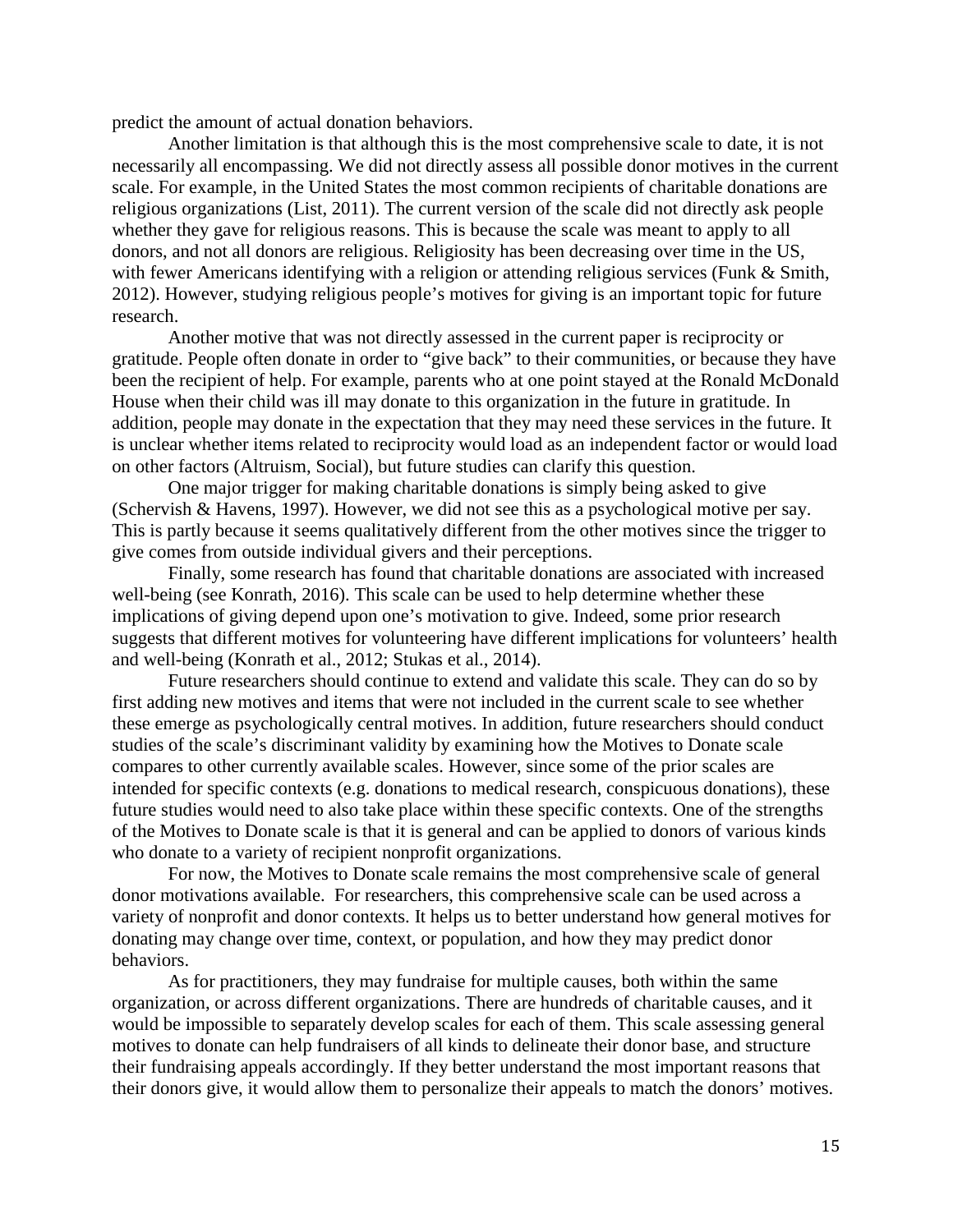predict the amount of actual donation behaviors.

Another limitation is that although this is the most comprehensive scale to date, it is not necessarily all encompassing. We did not directly assess all possible donor motives in the current scale. For example, in the United States the most common recipients of charitable donations are religious organizations (List, 2011). The current version of the scale did not directly ask people whether they gave for religious reasons. This is because the scale was meant to apply to all donors, and not all donors are religious. Religiosity has been decreasing over time in the US, with fewer Americans identifying with a religion or attending religious services (Funk & Smith, 2012). However, studying religious people's motives for giving is an important topic for future research.

Another motive that was not directly assessed in the current paper is reciprocity or gratitude. People often donate in order to "give back" to their communities, or because they have been the recipient of help. For example, parents who at one point stayed at the Ronald McDonald House when their child was ill may donate to this organization in the future in gratitude. In addition, people may donate in the expectation that they may need these services in the future. It is unclear whether items related to reciprocity would load as an independent factor or would load on other factors (Altruism, Social), but future studies can clarify this question.

One major trigger for making charitable donations is simply being asked to give (Schervish & Havens, 1997). However, we did not see this as a psychological motive per say. This is partly because it seems qualitatively different from the other motives since the trigger to give comes from outside individual givers and their perceptions.

Finally, some research has found that charitable donations are associated with increased well-being (see Konrath, 2016). This scale can be used to help determine whether these implications of giving depend upon one's motivation to give. Indeed, some prior research suggests that different motives for volunteering have different implications for volunteers' health and well-being (Konrath et al., 2012; Stukas et al., 2014).

Future researchers should continue to extend and validate this scale. They can do so by first adding new motives and items that were not included in the current scale to see whether these emerge as psychologically central motives. In addition, future researchers should conduct studies of the scale's discriminant validity by examining how the Motives to Donate scale compares to other currently available scales. However, since some of the prior scales are intended for specific contexts (e.g. donations to medical research, conspicuous donations), these future studies would need to also take place within these specific contexts. One of the strengths of the Motives to Donate scale is that it is general and can be applied to donors of various kinds who donate to a variety of recipient nonprofit organizations.

For now, the Motives to Donate scale remains the most comprehensive scale of general donor motivations available. For researchers, this comprehensive scale can be used across a variety of nonprofit and donor contexts. It helps us to better understand how general motives for donating may change over time, context, or population, and how they may predict donor behaviors.

As for practitioners, they may fundraise for multiple causes, both within the same organization, or across different organizations. There are hundreds of charitable causes, and it would be impossible to separately develop scales for each of them. This scale assessing general motives to donate can help fundraisers of all kinds to delineate their donor base, and structure their fundraising appeals accordingly. If they better understand the most important reasons that their donors give, it would allow them to personalize their appeals to match the donors' motives.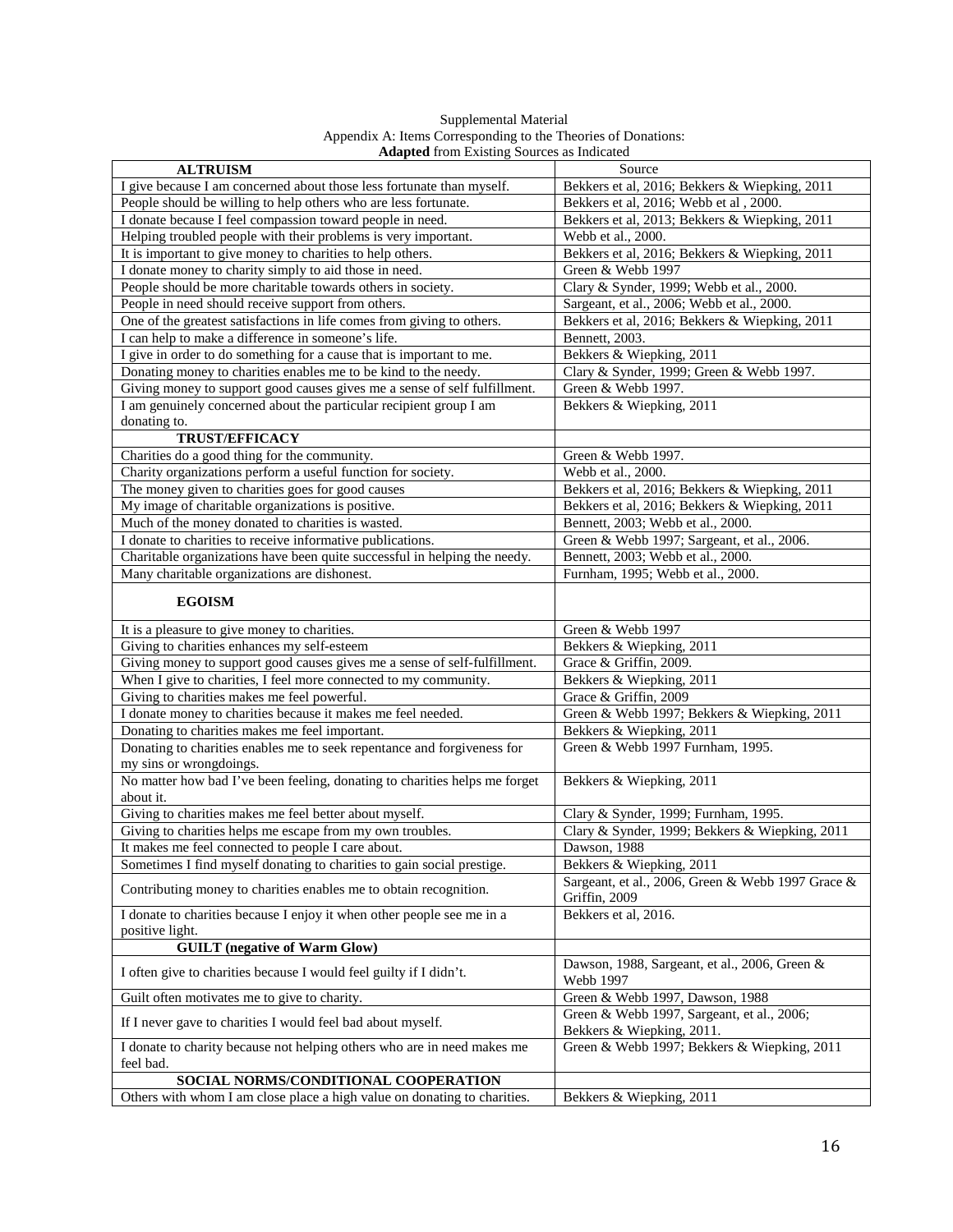| Supplemental Material                                         |
|---------------------------------------------------------------|
| Appendix A: Items Corresponding to the Theories of Donations: |
| <b>Adapted</b> from Existing Sources as Indicated             |

| <b>Transferrate</b> from Experience as marched                                                                               |                                                                                        |
|------------------------------------------------------------------------------------------------------------------------------|----------------------------------------------------------------------------------------|
| <b>ALTRUISM</b>                                                                                                              | Source                                                                                 |
| I give because I am concerned about those less fortunate than myself.                                                        | Bekkers et al, 2016; Bekkers & Wiepking, 2011                                          |
| People should be willing to help others who are less fortunate.                                                              | Bekkers et al, 2016; Webb et al, 2000.                                                 |
| I donate because I feel compassion toward people in need.                                                                    | Bekkers et al, 2013; Bekkers & Wiepking, 2011                                          |
| Helping troubled people with their problems is very important.                                                               | Webb et al., 2000.                                                                     |
| It is important to give money to charities to help others.                                                                   | Bekkers et al, 2016; Bekkers & Wiepking, 2011                                          |
| I donate money to charity simply to aid those in need.                                                                       | Green & Webb 1997                                                                      |
| People should be more charitable towards others in society.                                                                  | Clary & Synder, 1999; Webb et al., 2000.<br>Sargeant, et al., 2006; Webb et al., 2000. |
| People in need should receive support from others.<br>One of the greatest satisfactions in life comes from giving to others. | Bekkers et al, 2016; Bekkers & Wiepking, 2011                                          |
| I can help to make a difference in someone's life.                                                                           | Bennett, 2003.                                                                         |
| I give in order to do something for a cause that is important to me.                                                         | Bekkers & Wiepking, 2011                                                               |
| Donating money to charities enables me to be kind to the needy.                                                              | Clary & Synder, 1999; Green & Webb 1997.                                               |
| Giving money to support good causes gives me a sense of self fulfillment.                                                    | Green & Webb 1997.                                                                     |
| I am genuinely concerned about the particular recipient group I am                                                           | Bekkers & Wiepking, 2011                                                               |
| donating to.                                                                                                                 |                                                                                        |
| <b>TRUST/EFFICACY</b>                                                                                                        |                                                                                        |
| Charities do a good thing for the community.                                                                                 | Green & Webb 1997.                                                                     |
| Charity organizations perform a useful function for society.                                                                 | Webb et al., 2000.                                                                     |
| The money given to charities goes for good causes                                                                            | Bekkers et al, 2016; Bekkers & Wiepking, 2011                                          |
| My image of charitable organizations is positive.                                                                            | Bekkers et al, 2016; Bekkers & Wiepking, 2011                                          |
| Much of the money donated to charities is wasted.                                                                            | Bennett, 2003; Webb et al., 2000.                                                      |
| I donate to charities to receive informative publications.                                                                   | Green & Webb 1997; Sargeant, et al., 2006.                                             |
| Charitable organizations have been quite successful in helping the needy.                                                    | Bennett, 2003; Webb et al., 2000.                                                      |
| Many charitable organizations are dishonest.                                                                                 | Furnham, 1995; Webb et al., 2000.                                                      |
|                                                                                                                              |                                                                                        |
| <b>EGOISM</b>                                                                                                                |                                                                                        |
| It is a pleasure to give money to charities.                                                                                 | Green & Webb 1997                                                                      |
| Giving to charities enhances my self-esteem                                                                                  | Bekkers & Wiepking, 2011                                                               |
| Giving money to support good causes gives me a sense of self-fulfillment.                                                    | Grace & Griffin, 2009.                                                                 |
| When I give to charities, I feel more connected to my community.                                                             | Bekkers & Wiepking, 2011                                                               |
| Giving to charities makes me feel powerful.                                                                                  | Grace & Griffin, 2009                                                                  |
| I donate money to charities because it makes me feel needed.                                                                 | Green & Webb 1997; Bekkers & Wiepking, 2011                                            |
| Donating to charities makes me feel important.                                                                               | Bekkers & Wiepking, 2011                                                               |
| Donating to charities enables me to seek repentance and forgiveness for                                                      | Green & Webb 1997 Furnham, 1995.                                                       |
| my sins or wrongdoings.                                                                                                      |                                                                                        |
| No matter how bad I've been feeling, donating to charities helps me forget                                                   | Bekkers & Wiepking, 2011                                                               |
| about it.                                                                                                                    |                                                                                        |
| Giving to charities makes me feel better about myself.                                                                       | Clary & Synder, 1999; Furnham, 1995.                                                   |
| Giving to charities helps me escape from my own troubles.                                                                    | Clary & Synder, 1999; Bekkers & Wiepking, 2011                                         |
| It makes me feel connected to people I care about.                                                                           | Dawson, 1988                                                                           |
| Sometimes I find myself donating to charities to gain social prestige.                                                       | Bekkers & Wiepking, 2011                                                               |
| Contributing money to charities enables me to obtain recognition.                                                            | Sargeant, et al., 2006, Green & Webb 1997 Grace &<br>Griffin, 2009                     |
| I donate to charities because I enjoy it when other people see me in a                                                       | Bekkers et al, 2016.                                                                   |
| positive light.                                                                                                              |                                                                                        |
| <b>GUILT</b> (negative of Warm Glow)                                                                                         |                                                                                        |
| I often give to charities because I would feel guilty if I didn't.                                                           | Dawson, 1988, Sargeant, et al., 2006, Green &<br>Webb 1997                             |
| Guilt often motivates me to give to charity.                                                                                 | Green & Webb 1997, Dawson, 1988                                                        |
| If I never gave to charities I would feel bad about myself.                                                                  | Green & Webb 1997, Sargeant, et al., 2006;<br>Bekkers & Wiepking, 2011.                |
| I donate to charity because not helping others who are in need makes me                                                      | Green & Webb 1997; Bekkers & Wiepking, 2011                                            |
| feel bad.                                                                                                                    |                                                                                        |
|                                                                                                                              |                                                                                        |
| SOCIAL NORMS/CONDITIONAL COOPERATION<br>Others with whom I am close place a high value on donating to charities.             | Bekkers & Wiepking, 2011                                                               |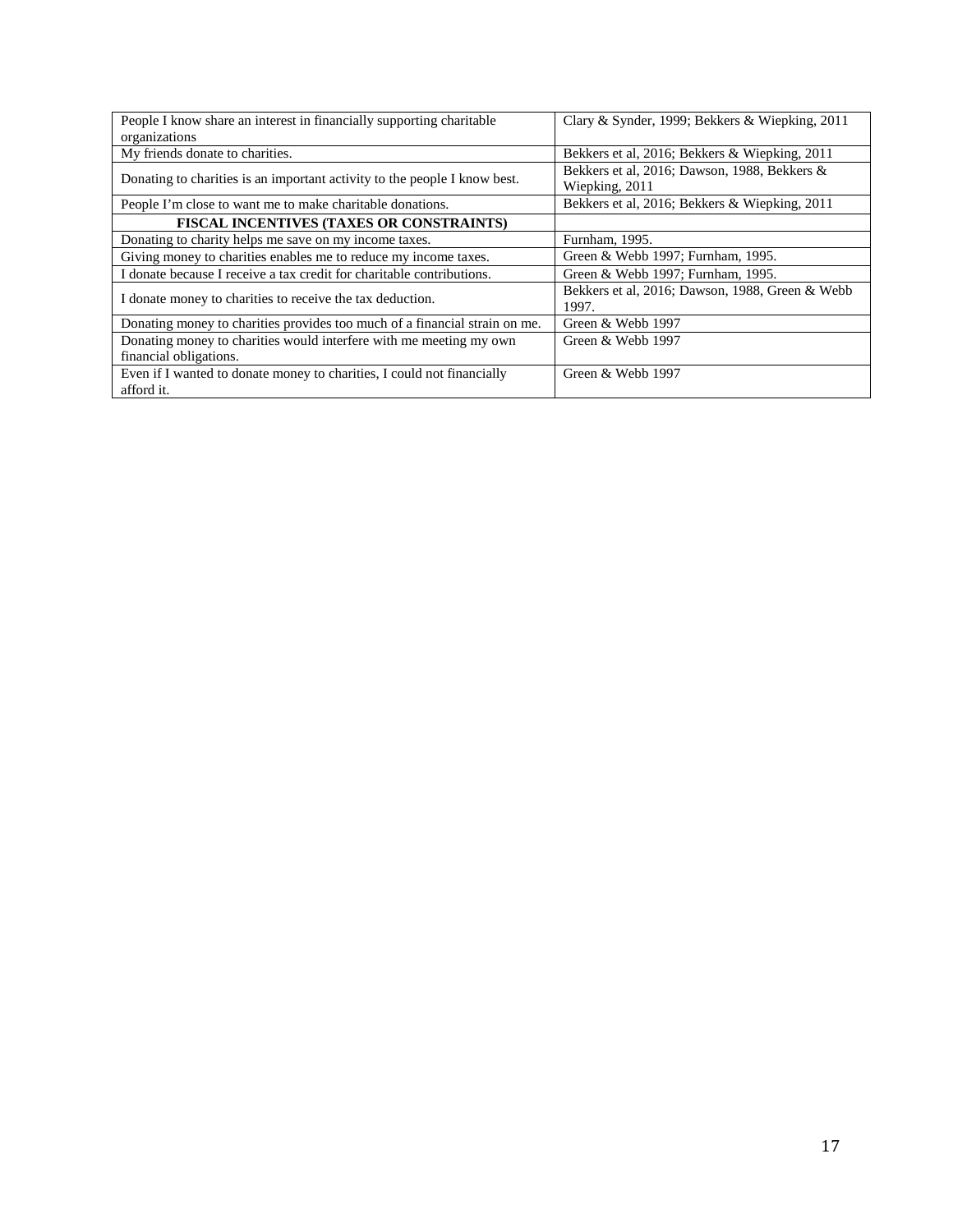| People I know share an interest in financially supporting charitable       | Clary & Synder, 1999; Bekkers & Wiepking, 2011  |
|----------------------------------------------------------------------------|-------------------------------------------------|
| organizations                                                              |                                                 |
| My friends donate to charities.                                            | Bekkers et al, 2016; Bekkers & Wiepking, 2011   |
| Donating to charities is an important activity to the people I know best.  | Bekkers et al, 2016; Dawson, 1988, Bekkers &    |
|                                                                            | Wiepking, 2011                                  |
| People I'm close to want me to make charitable donations.                  | Bekkers et al, 2016; Bekkers & Wiepking, 2011   |
| FISCAL INCENTIVES (TAXES OR CONSTRAINTS)                                   |                                                 |
| Donating to charity helps me save on my income taxes.                      | Furnham, 1995.                                  |
| Giving money to charities enables me to reduce my income taxes.            | Green & Webb 1997; Furnham, 1995.               |
| I donate because I receive a tax credit for charitable contributions.      | Green & Webb 1997; Furnham, 1995.               |
| I donate money to charities to receive the tax deduction.                  | Bekkers et al, 2016; Dawson, 1988, Green & Webb |
|                                                                            | 1997.                                           |
| Donating money to charities provides too much of a financial strain on me. | Green & Webb 1997                               |
| Donating money to charities would interfere with me meeting my own         | Green & Webb 1997                               |
| financial obligations.                                                     |                                                 |
| Even if I wanted to donate money to charities, I could not financially     | Green & Webb 1997                               |
| afford it.                                                                 |                                                 |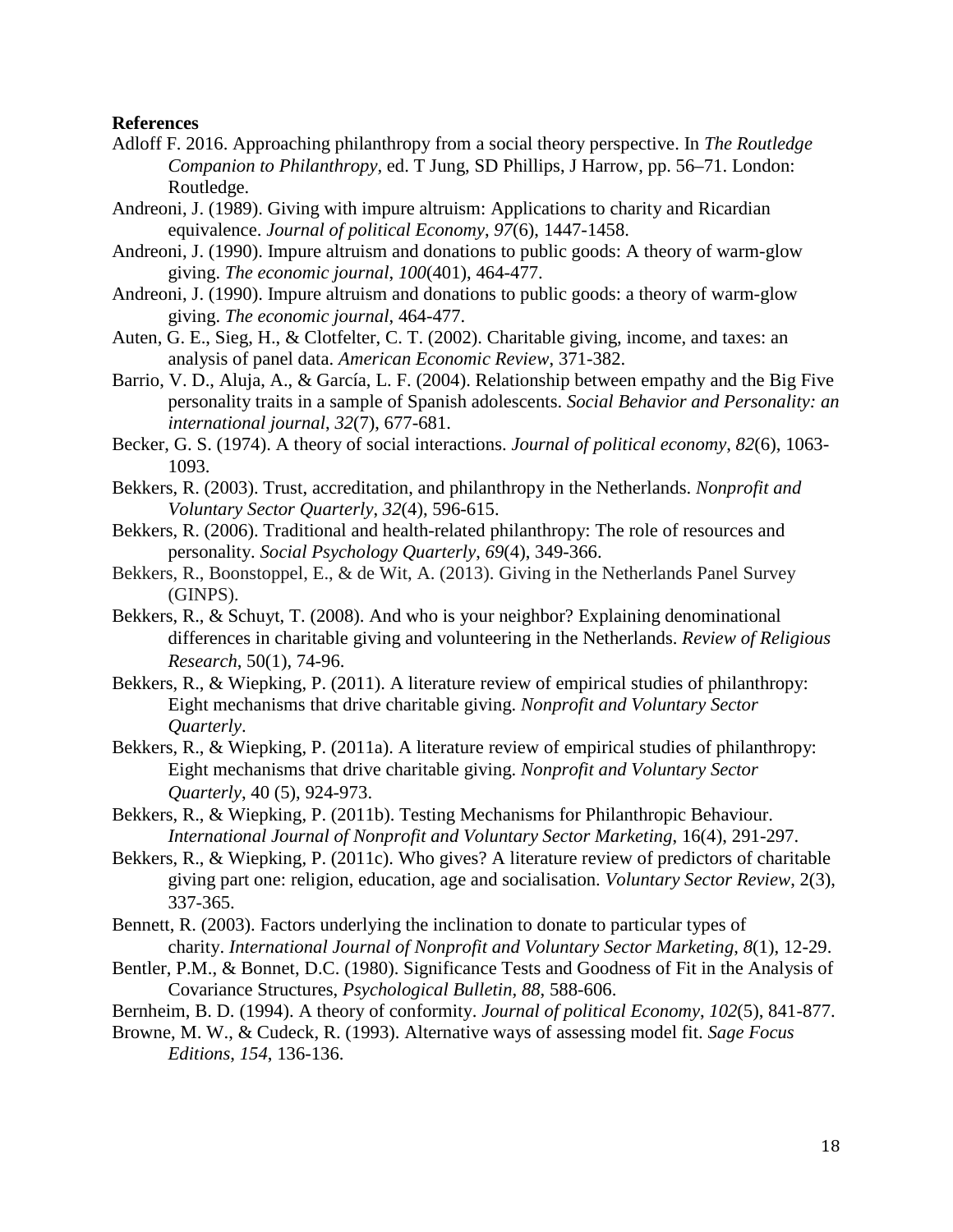#### **References**

- Adloff F. 2016. Approaching philanthropy from a social theory perspective. In *The Routledge Companion to Philanthropy,* ed. T Jung, SD Phillips, J Harrow, pp. 56–71. London: Routledge.
- Andreoni, J. (1989). Giving with impure altruism: Applications to charity and Ricardian equivalence. *Journal of political Economy*, *97*(6), 1447-1458.
- Andreoni, J. (1990). Impure altruism and donations to public goods: A theory of warm-glow giving. *The economic journal*, *100*(401), 464-477.
- Andreoni, J. (1990). Impure altruism and donations to public goods: a theory of warm-glow giving. *The economic journal*, 464-477.
- Auten, G. E., Sieg, H., & Clotfelter, C. T. (2002). Charitable giving, income, and taxes: an analysis of panel data. *American Economic Review*, 371-382.
- Barrio, V. D., Aluja, A., & García, L. F. (2004). Relationship between empathy and the Big Five personality traits in a sample of Spanish adolescents. *Social Behavior and Personality: an international journal*, *32*(7), 677-681.
- Becker, G. S. (1974). A theory of social interactions. *Journal of political economy*, *82*(6), 1063- 1093.
- Bekkers, R. (2003). Trust, accreditation, and philanthropy in the Netherlands. *Nonprofit and Voluntary Sector Quarterly*, *32*(4), 596-615.
- Bekkers, R. (2006). Traditional and health-related philanthropy: The role of resources and personality. *Social Psychology Quarterly*, *69*(4), 349-366.
- Bekkers, R., Boonstoppel, E., & de Wit, A. (2013). Giving in the Netherlands Panel Survey (GINPS).
- Bekkers, R., & Schuyt, T. (2008). And who is your neighbor? Explaining denominational differences in charitable giving and volunteering in the Netherlands. *Review of Religious Research*, 50(1), 74-96.
- Bekkers, R., & Wiepking, P. (2011). A literature review of empirical studies of philanthropy: Eight mechanisms that drive charitable giving. *Nonprofit and Voluntary Sector Quarterly*.
- Bekkers, R., & Wiepking, P. (2011a). A literature review of empirical studies of philanthropy: Eight mechanisms that drive charitable giving. *Nonprofit and Voluntary Sector Quarterly*, 40 (5), 924-973.
- Bekkers, R., & Wiepking, P. (2011b). Testing Mechanisms for Philanthropic Behaviour. *International Journal of Nonprofit and Voluntary Sector Marketing*, 16(4), 291-297.
- Bekkers, R., & Wiepking, P. (2011c). Who gives? A literature review of predictors of charitable giving part one: religion, education, age and socialisation. *Voluntary Sector Review*, 2(3), 337-365.
- Bennett, R. (2003). Factors underlying the inclination to donate to particular types of charity. *International Journal of Nonprofit and Voluntary Sector Marketing*, *8*(1), 12-29.
- Bentler, P.M., & Bonnet, D.C. (1980). Significance Tests and Goodness of Fit in the Analysis of Covariance Structures, *Psychological Bulletin, 88*, 588-606.
- Bernheim, B. D. (1994). A theory of conformity. *Journal of political Economy*, *102*(5), 841-877.

Browne, M. W., & Cudeck, R. (1993). Alternative ways of assessing model fit. *Sage Focus Editions*, *154*, 136-136.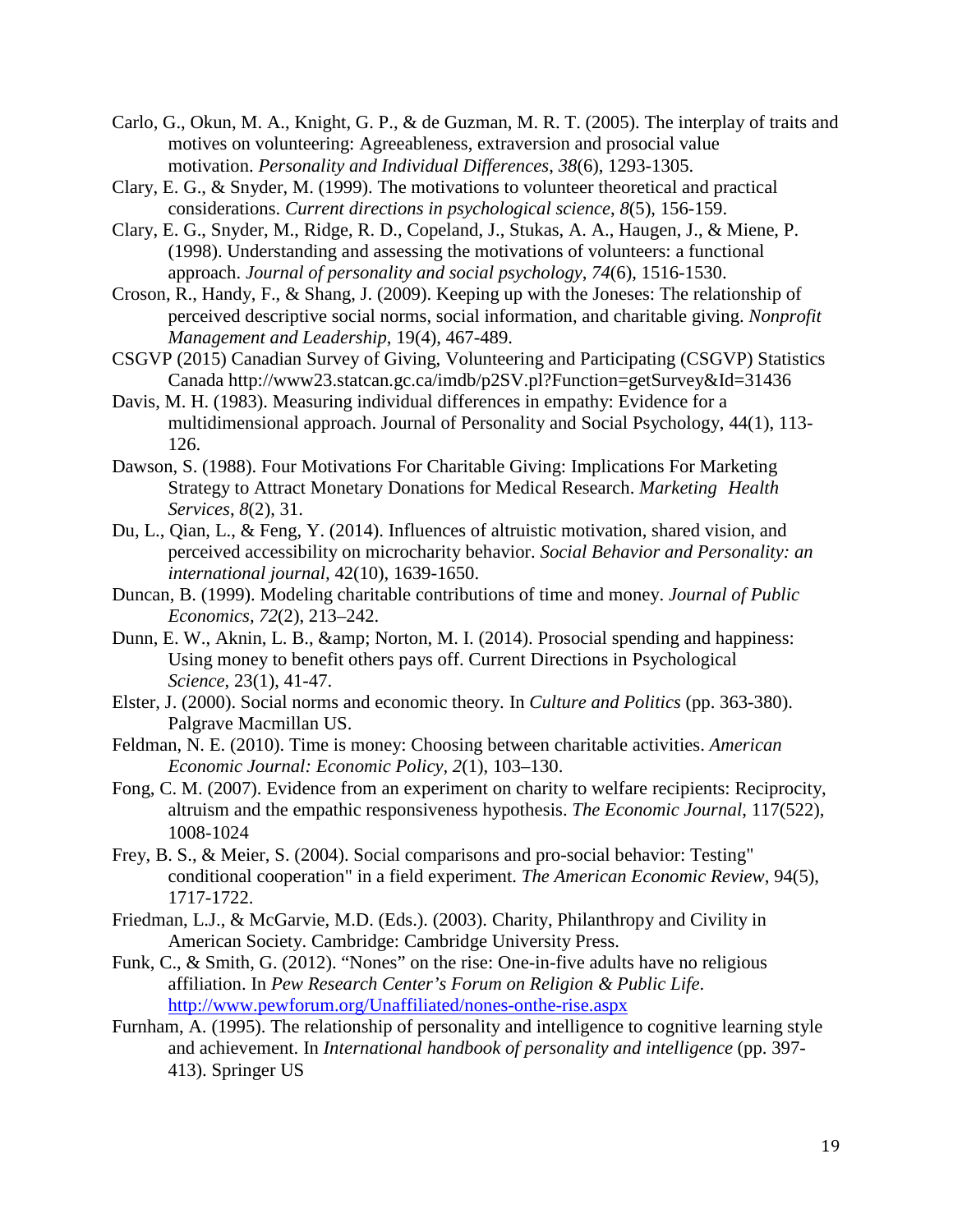- Carlo, G., Okun, M. A., Knight, G. P., & de Guzman, M. R. T. (2005). The interplay of traits and motives on volunteering: Agreeableness, extraversion and prosocial value motivation. *Personality and Individual Differences*, *38*(6), 1293-1305.
- Clary, E. G., & Snyder, M. (1999). The motivations to volunteer theoretical and practical considerations. *Current directions in psychological science*, *8*(5), 156-159.
- Clary, E. G., Snyder, M., Ridge, R. D., Copeland, J., Stukas, A. A., Haugen, J., & Miene, P. (1998). Understanding and assessing the motivations of volunteers: a functional approach. *Journal of personality and social psychology*, *74*(6), 1516-1530.
- Croson, R., Handy, F., & Shang, J. (2009). Keeping up with the Joneses: The relationship of perceived descriptive social norms, social information, and charitable giving. *Nonprofit Management and Leadership*, 19(4), 467-489.
- CSGVP (2015) Canadian Survey of Giving, Volunteering and Participating (CSGVP) Statistics Canada http://www23.statcan.gc.ca/imdb/p2SV.pl?Function=getSurvey&Id=31436
- Davis, M. H. (1983). Measuring individual differences in empathy: Evidence for a multidimensional approach. Journal of Personality and Social Psychology, 44(1), 113- 126.
- Dawson, S. (1988). Four Motivations For Charitable Giving: Implications For Marketing Strategy to Attract Monetary Donations for Medical Research. *Marketing Health Services*, *8*(2), 31.
- Du, L., Qian, L., & Feng, Y. (2014). Influences of altruistic motivation, shared vision, and perceived accessibility on microcharity behavior. *Social Behavior and Personality: an international journal,* 42(10), 1639-1650.
- Duncan, B. (1999). Modeling charitable contributions of time and money. *Journal of Public Economics, 72*(2), 213–242.
- Dunn, E. W., Aknin, L. B., & amp; Norton, M. I. (2014). Prosocial spending and happiness: Using money to benefit others pays off. Current Directions in Psychological *Science*, 23(1), 41-47.
- Elster, J. (2000). Social norms and economic theory. In *Culture and Politics* (pp. 363-380). Palgrave Macmillan US.
- Feldman, N. E. (2010). Time is money: Choosing between charitable activities. *American Economic Journal: Economic Policy, 2*(1), 103–130.
- Fong, C. M. (2007). Evidence from an experiment on charity to welfare recipients: Reciprocity, altruism and the empathic responsiveness hypothesis. *The Economic Journal*, 117(522), 1008-1024
- Frey, B. S., & Meier, S. (2004). Social comparisons and pro-social behavior: Testing" conditional cooperation" in a field experiment. *The American Economic Review*, 94(5), 1717-1722.
- Friedman, L.J., & McGarvie, M.D. (Eds.). (2003). Charity, Philanthropy and Civility in American Society. Cambridge: Cambridge University Press.
- Funk, C., & Smith, G. (2012). "Nones" on the rise: One-in-five adults have no religious affiliation. In *Pew Research Center's Forum on Religion & Public Life*. <http://www.pewforum.org/Unaffiliated/nones-onthe-rise.aspx>
- Furnham, A. (1995). The relationship of personality and intelligence to cognitive learning style and achievement. In *International handbook of personality and intelligence* (pp. 397- 413). Springer US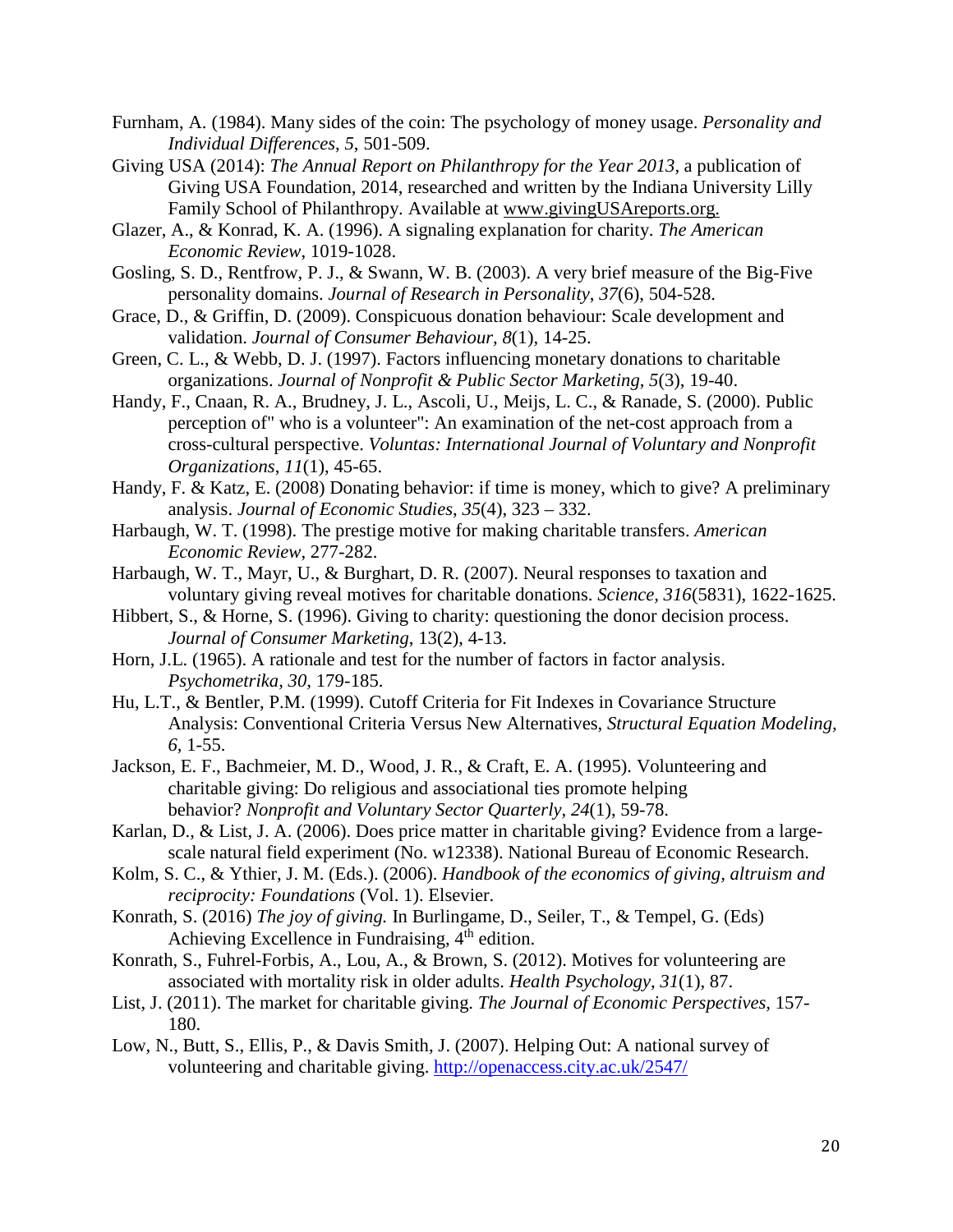- Furnham, A. (1984). Many sides of the coin: The psychology of money usage. *Personality and Individual Differences*, *5*, 501-509.
- Giving USA (2014): *The Annual Report on Philanthropy for the Year 2013,* a publication of Giving USA Foundation, 2014, researched and written by the Indiana University Lilly Family School of Philanthropy. Available at [www.givingUSAreports.org.](http://www.givingusareports.org/)
- Glazer, A., & Konrad, K. A. (1996). A signaling explanation for charity. *The American Economic Review*, 1019-1028.
- Gosling, S. D., Rentfrow, P. J., & Swann, W. B. (2003). A very brief measure of the Big-Five personality domains. *Journal of Research in Personality*, *37*(6), 504-528.
- Grace, D., & Griffin, D. (2009). Conspicuous donation behaviour: Scale development and validation. *Journal of Consumer Behaviour*, *8*(1), 14-25.
- Green, C. L., & Webb, D. J. (1997). Factors influencing monetary donations to charitable organizations. *Journal of Nonprofit & Public Sector Marketing*, *5*(3), 19-40.
- Handy, F., Cnaan, R. A., Brudney, J. L., Ascoli, U., Meijs, L. C., & Ranade, S. (2000). Public perception of" who is a volunteer": An examination of the net-cost approach from a cross-cultural perspective. *Voluntas: International Journal of Voluntary and Nonprofit Organizations*, *11*(1), 45-65.
- Handy, F. & Katz, E. (2008) Donating behavior: if time is money, which to give? A preliminary analysis. *Journal of Economic Studies*, *35*(4), 323 – 332.
- Harbaugh, W. T. (1998). The prestige motive for making charitable transfers. *American Economic Review*, 277-282.
- Harbaugh, W. T., Mayr, U., & Burghart, D. R. (2007). Neural responses to taxation and voluntary giving reveal motives for charitable donations. *Science, 316*(5831), 1622-1625.
- Hibbert, S., & Horne, S. (1996). Giving to charity: questioning the donor decision process. *Journal of Consumer Marketing*, 13(2), 4-13.
- Horn, J.L. (1965). A rationale and test for the number of factors in factor analysis. *Psychometrika, 30,* 179-185.
- Hu, L.T., & Bentler, P.M. (1999). Cutoff Criteria for Fit Indexes in Covariance Structure Analysis: Conventional Criteria Versus New Alternatives, *Structural Equation Modeling, 6,* 1-55.
- Jackson, E. F., Bachmeier, M. D., Wood, J. R., & Craft, E. A. (1995). Volunteering and charitable giving: Do religious and associational ties promote helping behavior? *Nonprofit and Voluntary Sector Quarterly*, *24*(1), 59-78.
- Karlan, D., & List, J. A. (2006). Does price matter in charitable giving? Evidence from a largescale natural field experiment (No. w12338). National Bureau of Economic Research.
- Kolm, S. C., & Ythier, J. M. (Eds.). (2006). *Handbook of the economics of giving, altruism and reciprocity: Foundations* (Vol. 1). Elsevier.
- Konrath, S. (2016) *The joy of giving.* In Burlingame, D., Seiler, T., & Tempel, G. (Eds) Achieving Excellence in Fundraising, 4<sup>th</sup> edition.
- Konrath, S., Fuhrel-Forbis, A., Lou, A., & Brown, S. (2012). Motives for volunteering are associated with mortality risk in older adults. *Health Psychology*, *31*(1), 87.
- List, J. (2011). The market for charitable giving. *The Journal of Economic Perspectives,* 157- 180.
- Low, N., Butt, S., Ellis, P., & Davis Smith, J. (2007). Helping Out: A national survey of volunteering and charitable giving.<http://openaccess.city.ac.uk/2547/>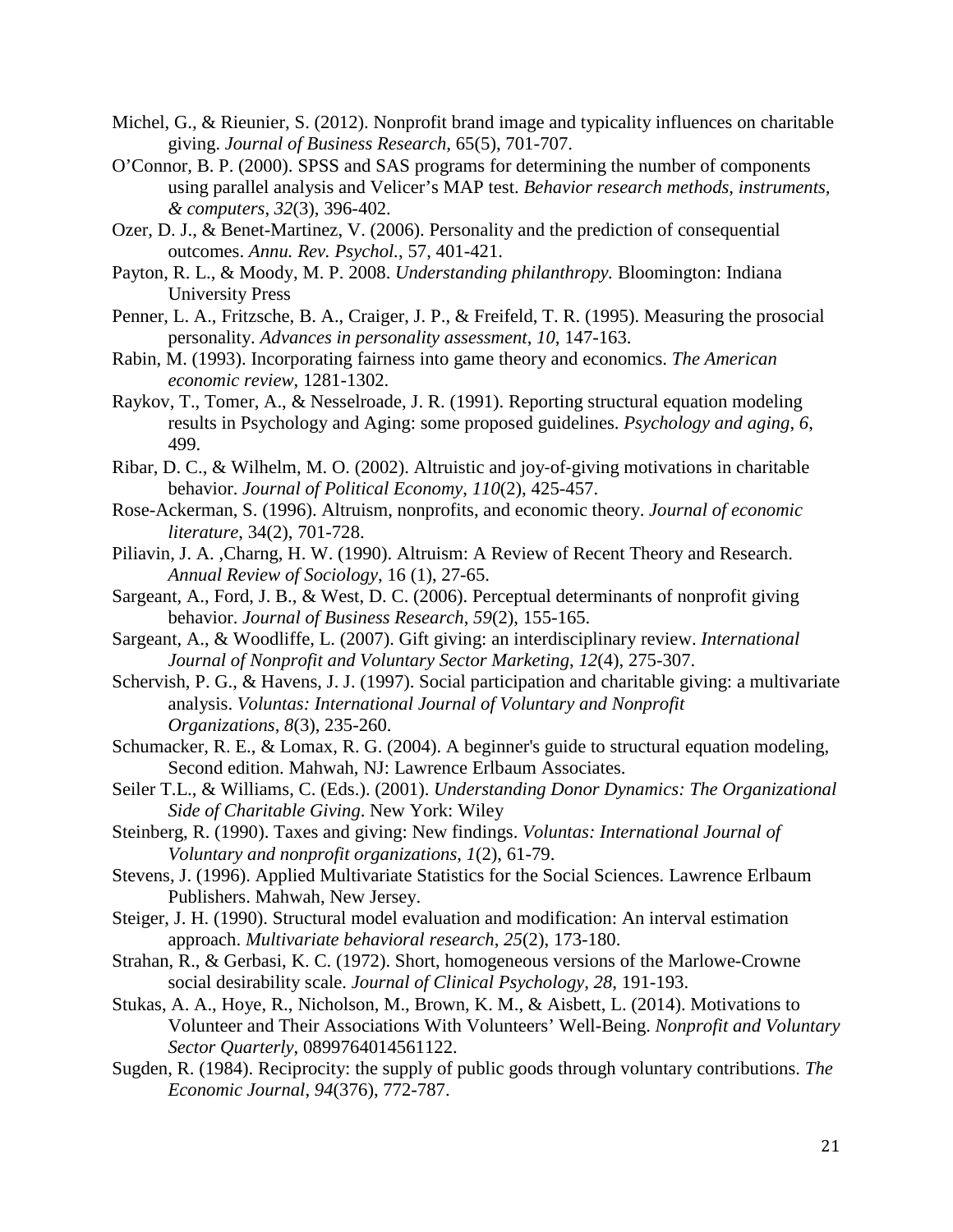- Michel, G., & Rieunier, S. (2012). Nonprofit brand image and typicality influences on charitable giving. *Journal of Business Research*, 65(5), 701-707.
- O'Connor, B. P. (2000). SPSS and SAS programs for determining the number of components using parallel analysis and Velicer's MAP test. *Behavior research methods, instruments, & computers*, *32*(3), 396-402.
- Ozer, D. J., & Benet-Martinez, V. (2006). Personality and the prediction of consequential outcomes. *Annu. Rev. Psychol.*, 57, 401-421.
- Payton, R. L., & Moody, M. P. 2008. *Understanding philanthropy.* Bloomington: Indiana University Press
- Penner, L. A., Fritzsche, B. A., Craiger, J. P., & Freifeld, T. R. (1995). Measuring the prosocial personality. *Advances in personality assessment*, *10*, 147-163.
- Rabin, M. (1993). Incorporating fairness into game theory and economics. *The American economic review*, 1281-1302.
- Raykov, T., Tomer, A., & Nesselroade, J. R. (1991). Reporting structural equation modeling results in Psychology and Aging: some proposed guidelines. *Psychology and aging*, *6*, 499.
- Ribar, D. C., & Wilhelm, M. O. (2002). Altruistic and joy‐of‐giving motivations in charitable behavior. *Journal of Political Economy*, *110*(2), 425-457.
- Rose-Ackerman, S. (1996). Altruism, nonprofits, and economic theory. *Journal of economic literature*, 34(2), 701-728.
- Piliavin, J. A. ,Charng, H. W. (1990). Altruism: A Review of Recent Theory and Research. *Annual Review of Sociology*, 16 (1), 27-65.
- Sargeant, A., Ford, J. B., & West, D. C. (2006). Perceptual determinants of nonprofit giving behavior. *Journal of Business Research*, *59*(2), 155-165.
- Sargeant, A., & Woodliffe, L. (2007). Gift giving: an interdisciplinary review. *International Journal of Nonprofit and Voluntary Sector Marketing*, *12*(4), 275-307.
- Schervish, P. G., & Havens, J. J. (1997). Social participation and charitable giving: a multivariate analysis. *Voluntas: International Journal of Voluntary and Nonprofit Organizations*, *8*(3), 235-260.
- Schumacker, R. E., & Lomax, R. G. (2004). A beginner's guide to structural equation modeling, Second edition. Mahwah, NJ: Lawrence Erlbaum Associates.
- Seiler T.L., & Williams, C. (Eds.). (2001). *Understanding Donor Dynamics: The Organizational Side of Charitable Giving*. New York: Wiley
- Steinberg, R. (1990). Taxes and giving: New findings. *Voluntas: International Journal of Voluntary and nonprofit organizations*, *1*(2), 61-79.
- Stevens, J. (1996). Applied Multivariate Statistics for the Social Sciences. Lawrence Erlbaum Publishers. Mahwah, New Jersey.
- Steiger, J. H. (1990). Structural model evaluation and modification: An interval estimation approach. *Multivariate behavioral research*, *25*(2), 173-180.
- Strahan, R., & Gerbasi, K. C. (1972). Short, homogeneous versions of the Marlowe-Crowne social desirability scale. *Journal of Clinical Psychology, 28*, 191-193.
- Stukas, A. A., Hoye, R., Nicholson, M., Brown, K. M., & Aisbett, L. (2014). Motivations to Volunteer and Their Associations With Volunteers' Well-Being. *Nonprofit and Voluntary Sector Quarterly*, 0899764014561122.
- Sugden, R. (1984). Reciprocity: the supply of public goods through voluntary contributions. *The Economic Journal*, *94*(376), 772-787.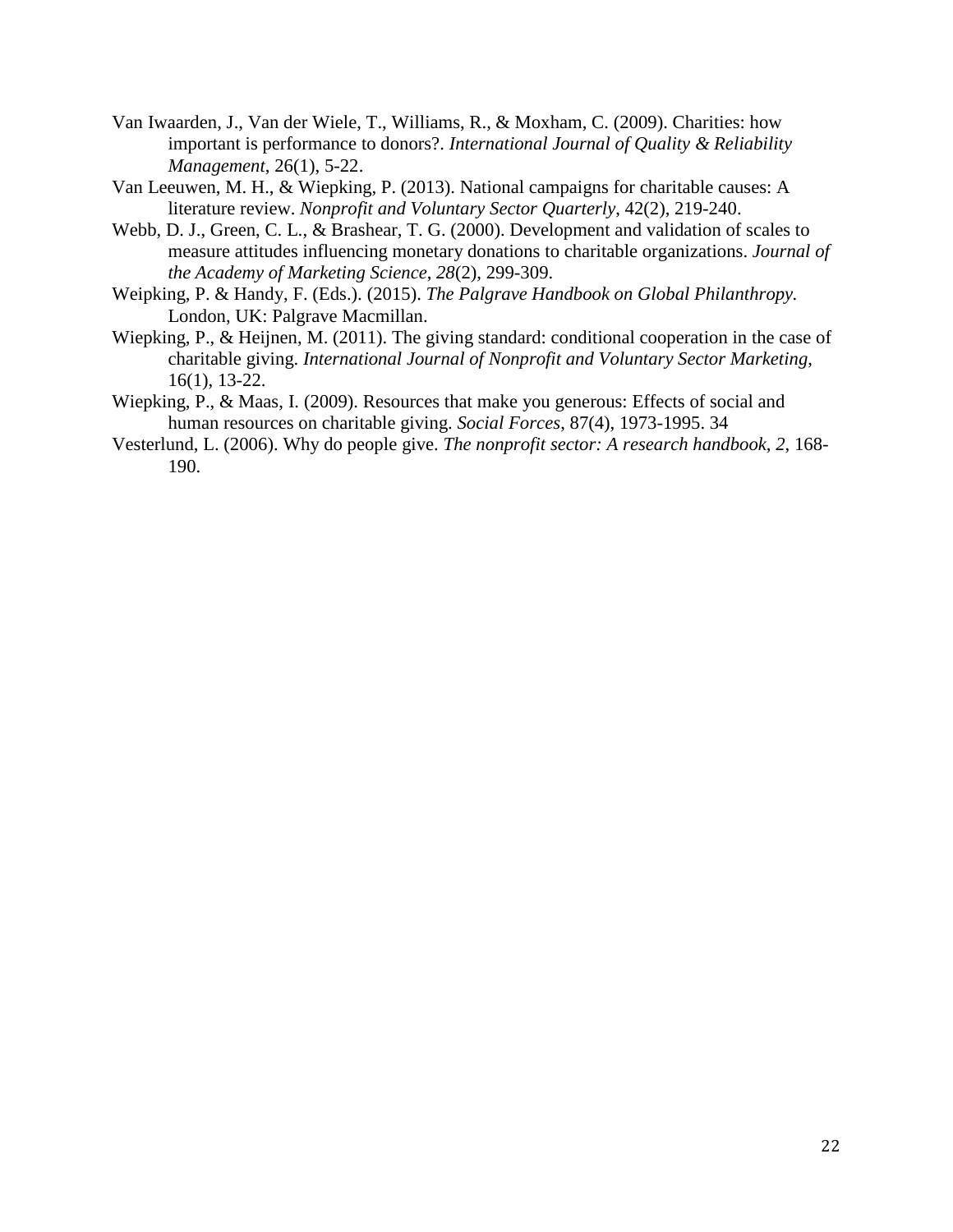- Van Iwaarden, J., Van der Wiele, T., Williams, R., & Moxham, C. (2009). Charities: how important is performance to donors?. *International Journal of Quality & Reliability Management*, 26(1), 5-22.
- Van Leeuwen, M. H., & Wiepking, P. (2013). National campaigns for charitable causes: A literature review. *Nonprofit and Voluntary Sector Quarterly*, 42(2), 219-240.
- Webb, D. J., Green, C. L., & Brashear, T. G. (2000). Development and validation of scales to measure attitudes influencing monetary donations to charitable organizations. *Journal of the Academy of Marketing Science*, *28*(2), 299-309.
- Weipking, P. & Handy, F. (Eds.). (2015). *The Palgrave Handbook on Global Philanthropy.* London, UK: Palgrave Macmillan.
- Wiepking, P., & Heijnen, M. (2011). The giving standard: conditional cooperation in the case of charitable giving. *International Journal of Nonprofit and Voluntary Sector Marketing*, 16(1), 13-22.
- Wiepking, P., & Maas, I. (2009). Resources that make you generous: Effects of social and human resources on charitable giving. *Social Forces*, 87(4), 1973-1995. 34
- Vesterlund, L. (2006). Why do people give. *The nonprofit sector: A research handbook*, *2*, 168- 190.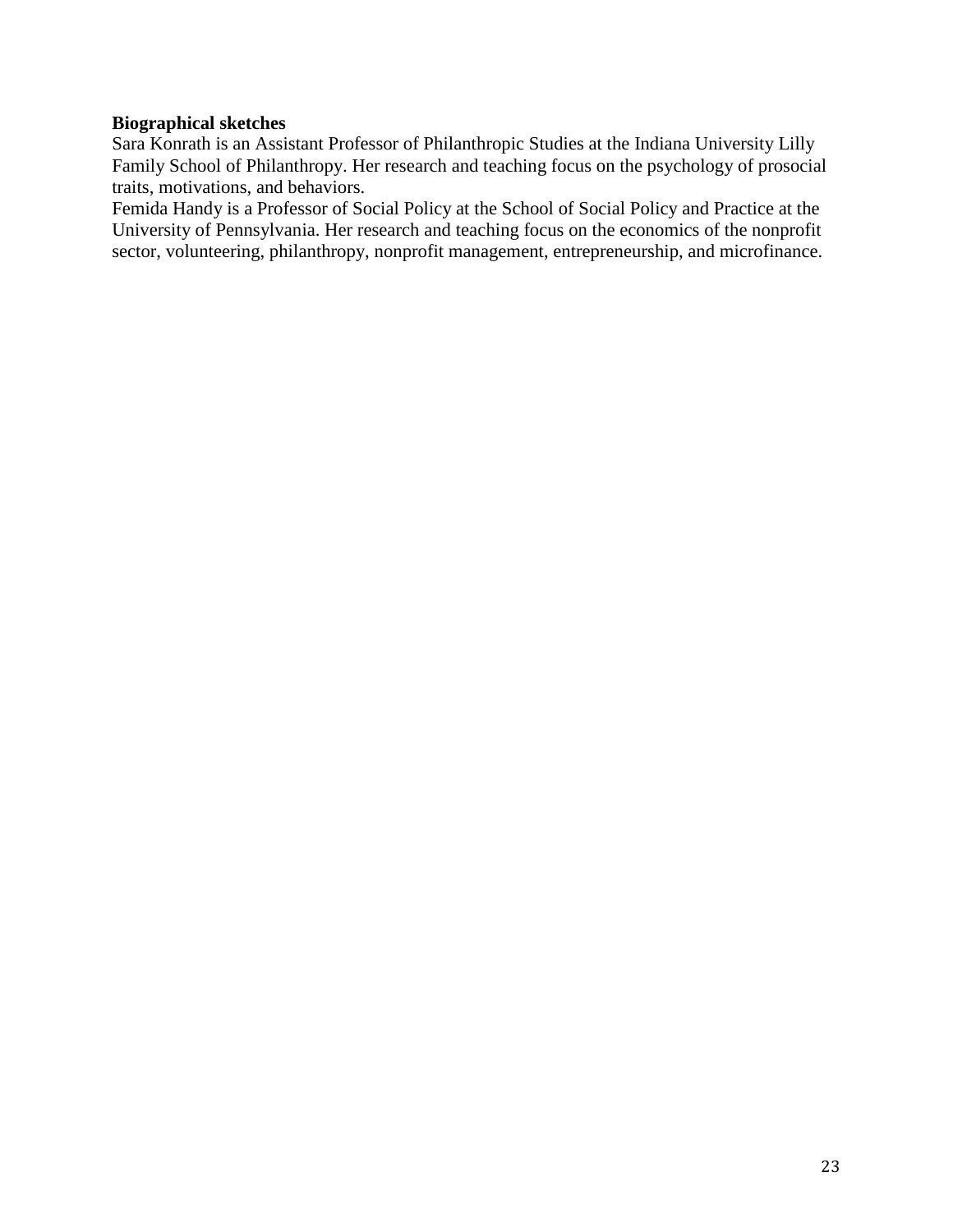# **Biographical sketches**

Sara Konrath is an Assistant Professor of Philanthropic Studies at the Indiana University Lilly Family School of Philanthropy. Her research and teaching focus on the psychology of prosocial traits, motivations, and behaviors.

Femida Handy is a Professor of Social Policy at the School of Social Policy and Practice at the University of Pennsylvania. Her research and teaching focus on the economics of the nonprofit sector, volunteering, philanthropy, nonprofit management, entrepreneurship, and microfinance.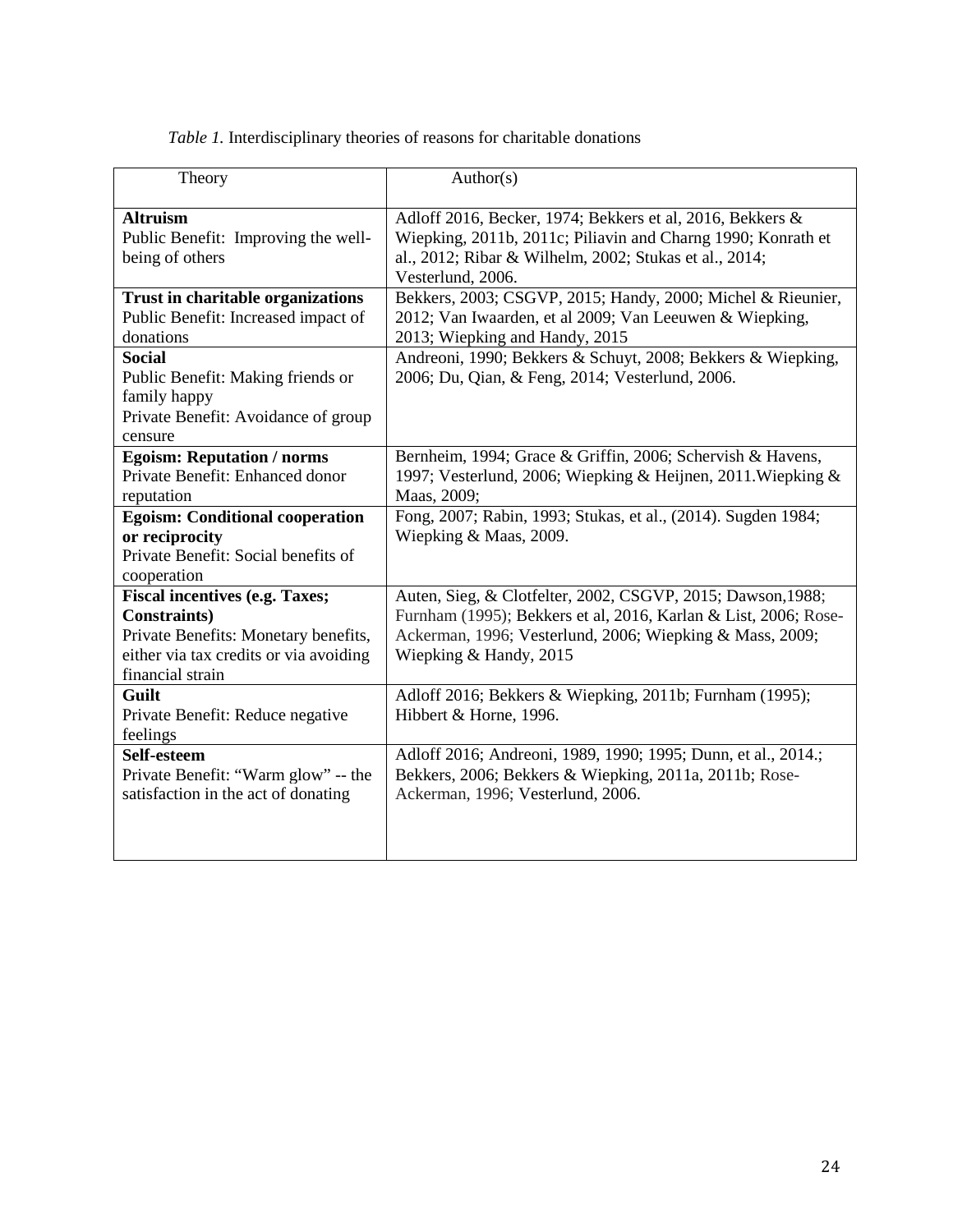*Table 1.* Interdisciplinary theories of reasons for charitable donations

| Theory                                                                                                                                                              | Author(s)                                                                                                                                                                                                            |
|---------------------------------------------------------------------------------------------------------------------------------------------------------------------|----------------------------------------------------------------------------------------------------------------------------------------------------------------------------------------------------------------------|
| <b>Altruism</b><br>Public Benefit: Improving the well-<br>being of others                                                                                           | Adloff 2016, Becker, 1974; Bekkers et al, 2016, Bekkers &<br>Wiepking, 2011b, 2011c; Piliavin and Charng 1990; Konrath et<br>al., 2012; Ribar & Wilhelm, 2002; Stukas et al., 2014;<br>Vesterlund, 2006.             |
| <b>Trust in charitable organizations</b><br>Public Benefit: Increased impact of<br>donations                                                                        | Bekkers, 2003; CSGVP, 2015; Handy, 2000; Michel & Rieunier,<br>2012; Van Iwaarden, et al 2009; Van Leeuwen & Wiepking,<br>2013; Wiepking and Handy, 2015                                                             |
| <b>Social</b><br>Public Benefit: Making friends or<br>family happy<br>Private Benefit: Avoidance of group<br>censure                                                | Andreoni, 1990; Bekkers & Schuyt, 2008; Bekkers & Wiepking,<br>2006; Du, Qian, & Feng, 2014; Vesterlund, 2006.                                                                                                       |
| <b>Egoism: Reputation / norms</b><br>Private Benefit: Enhanced donor<br>reputation                                                                                  | Bernheim, 1994; Grace & Griffin, 2006; Schervish & Havens,<br>1997; Vesterlund, 2006; Wiepking & Heijnen, 2011. Wiepking &<br>Maas, 2009;                                                                            |
| <b>Egoism: Conditional cooperation</b><br>or reciprocity<br>Private Benefit: Social benefits of<br>cooperation                                                      | Fong, 2007; Rabin, 1993; Stukas, et al., (2014). Sugden 1984;<br>Wiepking & Maas, 2009.                                                                                                                              |
| <b>Fiscal incentives (e.g. Taxes;</b><br><b>Constraints</b> )<br>Private Benefits: Monetary benefits,<br>either via tax credits or via avoiding<br>financial strain | Auten, Sieg, & Clotfelter, 2002, CSGVP, 2015; Dawson, 1988;<br>Furnham (1995); Bekkers et al, 2016, Karlan & List, 2006; Rose-<br>Ackerman, 1996; Vesterlund, 2006; Wiepking & Mass, 2009;<br>Wiepking & Handy, 2015 |
| Guilt<br>Private Benefit: Reduce negative<br>feelings                                                                                                               | Adloff 2016; Bekkers & Wiepking, 2011b; Furnham (1995);<br>Hibbert & Horne, 1996.                                                                                                                                    |
| Self-esteem<br>Private Benefit: "Warm glow" -- the<br>satisfaction in the act of donating                                                                           | Adloff 2016; Andreoni, 1989, 1990; 1995; Dunn, et al., 2014.;<br>Bekkers, 2006; Bekkers & Wiepking, 2011a, 2011b; Rose-<br>Ackerman, 1996; Vesterlund, 2006.                                                         |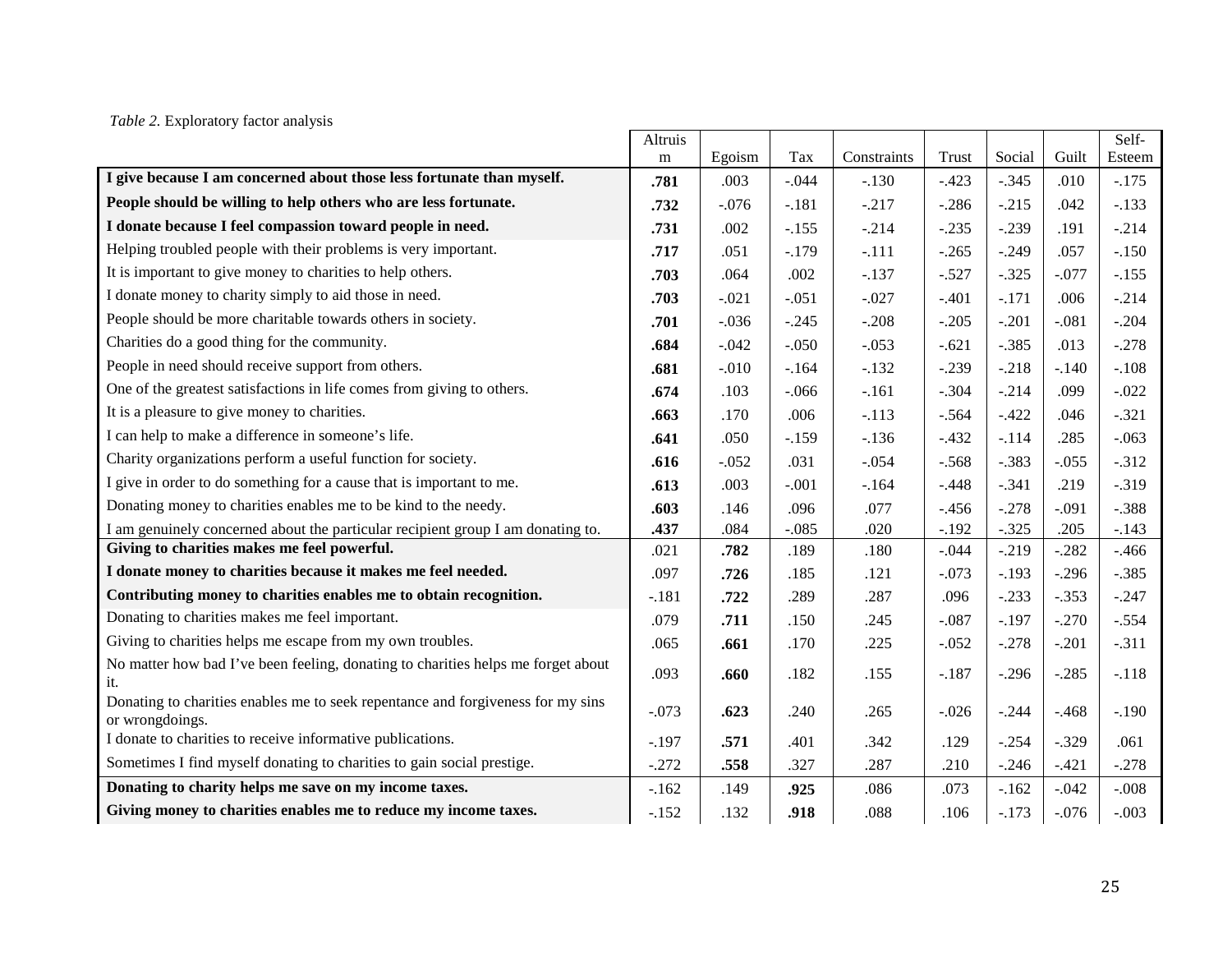# *Table 2.* Exploratory factor analysis

|                                                                                                    | Altruis |         |         |             |         |         |         | Self-    |
|----------------------------------------------------------------------------------------------------|---------|---------|---------|-------------|---------|---------|---------|----------|
|                                                                                                    | m       | Egoism  | Tax     | Constraints | Trust   | Social  | Guilt   | Esteem   |
| I give because I am concerned about those less fortunate than myself.                              | .781    | .003    | $-.044$ | $-.130$     | $-.423$ | $-.345$ | .010    | $-.175$  |
| People should be willing to help others who are less fortunate.                                    | .732    | $-.076$ | $-.181$ | $-.217$     | $-.286$ | $-.215$ | .042    | $-.133$  |
| I donate because I feel compassion toward people in need.                                          | .731    | .002    | $-.155$ | $-.214$     | $-.235$ | $-.239$ | .191    | $-.214$  |
| Helping troubled people with their problems is very important.                                     | .717    | .051    | $-.179$ | $-.111$     | $-.265$ | $-.249$ | .057    | $-.150$  |
| It is important to give money to charities to help others.                                         | .703    | .064    | .002    | $-.137$     | $-.527$ | $-.325$ | $-.077$ | $-.155$  |
| I donate money to charity simply to aid those in need.                                             | .703    | $-.021$ | $-.051$ | $-.027$     | $-.401$ | $-.171$ | .006    | $-.214$  |
| People should be more charitable towards others in society.                                        | .701    | $-.036$ | $-.245$ | $-.208$     | $-.205$ | $-.201$ | $-.081$ | $-.204$  |
| Charities do a good thing for the community.                                                       | .684    | $-.042$ | $-.050$ | $-.053$     | $-.621$ | $-.385$ | .013    | $-.278$  |
| People in need should receive support from others.                                                 | .681    | $-.010$ | $-.164$ | $-.132$     | $-.239$ | $-.218$ | $-.140$ | $-.108$  |
| One of the greatest satisfactions in life comes from giving to others.                             | .674    | .103    | $-.066$ | $-.161$     | $-.304$ | $-.214$ | .099    | $-.022$  |
| It is a pleasure to give money to charities.                                                       | .663    | .170    | .006    | $-.113$     | $-.564$ | $-.422$ | .046    | $-.321$  |
| I can help to make a difference in someone's life.                                                 | .641    | .050    | $-.159$ | $-.136$     | $-.432$ | $-.114$ | .285    | $-.063$  |
| Charity organizations perform a useful function for society.                                       | .616    | $-.052$ | .031    | $-.054$     | $-.568$ | $-.383$ | $-.055$ | $-.312$  |
| I give in order to do something for a cause that is important to me.                               | .613    | .003    | $-.001$ | $-164$      | $-.448$ | $-.341$ | .219    | $-.319$  |
| Donating money to charities enables me to be kind to the needy.                                    | .603    | .146    | .096    | .077        | $-.456$ | $-.278$ | $-.091$ | $-.388$  |
| I am genuinely concerned about the particular recipient group I am donating to.                    | .437    | .084    | $-.085$ | .020        | $-.192$ | $-.325$ | .205    | $-.143$  |
| Giving to charities makes me feel powerful.                                                        | .021    | .782    | .189    | .180        | $-.044$ | $-.219$ | $-.282$ | $-0.466$ |
| I donate money to charities because it makes me feel needed.                                       | .097    | .726    | .185    | .121        | $-.073$ | $-.193$ | $-.296$ | $-.385$  |
| Contributing money to charities enables me to obtain recognition.                                  | $-.181$ | .722    | .289    | .287        | .096    | $-.233$ | $-.353$ | $-.247$  |
| Donating to charities makes me feel important.                                                     | .079    | .711    | .150    | .245        | $-.087$ | $-.197$ | $-.270$ | $-.554$  |
| Giving to charities helps me escape from my own troubles.                                          | .065    | .661    | .170    | .225        | $-.052$ | $-.278$ | $-.201$ | $-.311$  |
| No matter how bad I've been feeling, donating to charities helps me forget about<br>it.            | .093    | .660    | .182    | .155        | $-.187$ | $-.296$ | $-.285$ | $-.118$  |
| Donating to charities enables me to seek repentance and forgiveness for my sins<br>or wrongdoings. | $-.073$ | .623    | .240    | .265        | $-.026$ | $-.244$ | $-.468$ | $-.190$  |
| I donate to charities to receive informative publications.                                         | $-.197$ | .571    | .401    | .342        | .129    | $-.254$ | $-.329$ | .061     |
| Sometimes I find myself donating to charities to gain social prestige.                             | $-.272$ | .558    | .327    | .287        | .210    | $-.246$ | $-.421$ | $-.278$  |
| Donating to charity helps me save on my income taxes.                                              | $-.162$ | .149    | .925    | .086        | .073    | $-.162$ | $-.042$ | $-.008$  |
| Giving money to charities enables me to reduce my income taxes.                                    | $-.152$ | .132    | .918    | .088        | .106    | $-.173$ | $-.076$ | $-.003$  |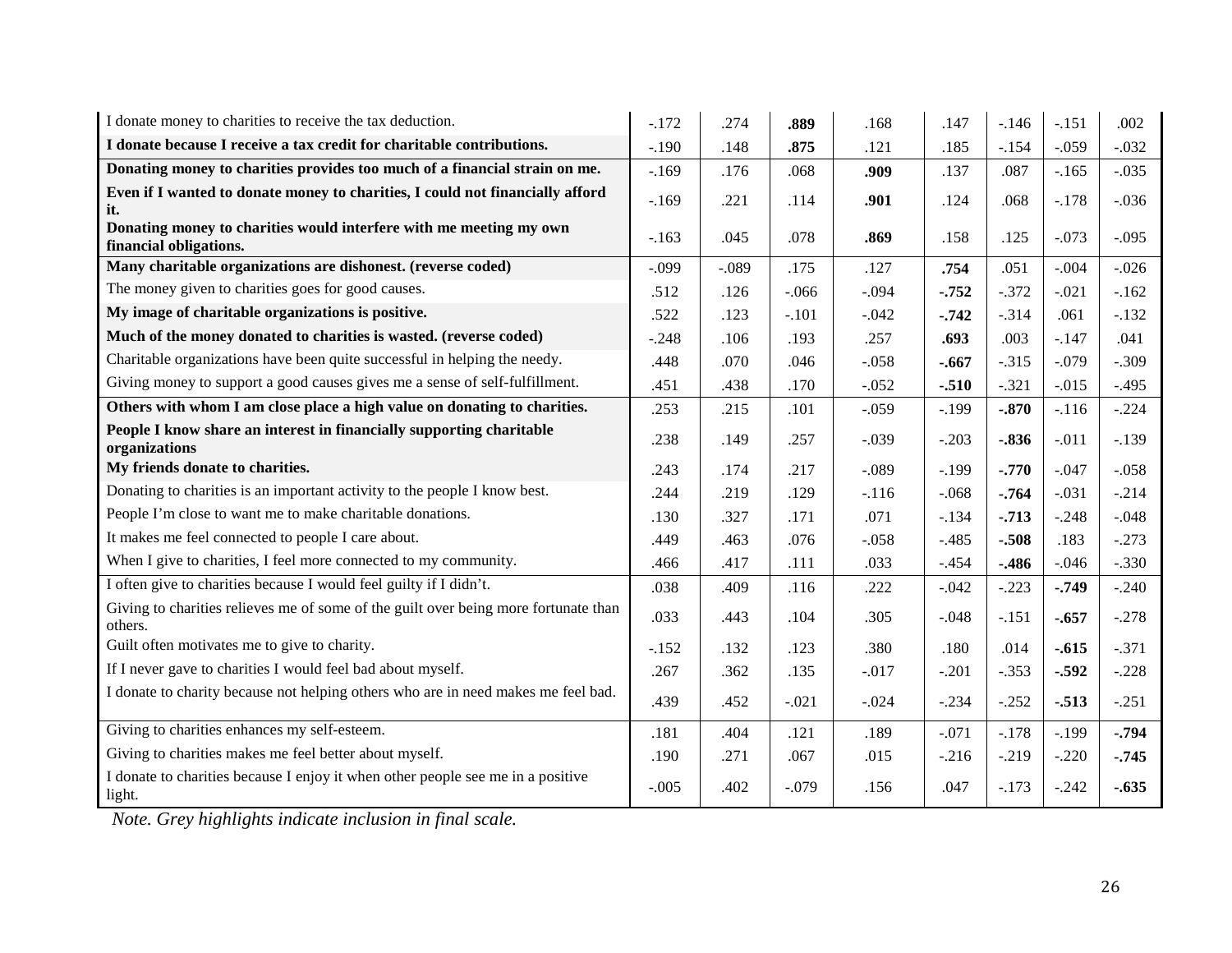| I donate money to charities to receive the tax deduction.                                      | $-.172$ | .274    | .889    | .168    | .147     | $-.146$ | $-.151$ | .002    |
|------------------------------------------------------------------------------------------------|---------|---------|---------|---------|----------|---------|---------|---------|
| I donate because I receive a tax credit for charitable contributions.                          | $-.190$ | .148    | .875    | .121    | .185     | $-.154$ | $-.059$ | $-.032$ |
| Donating money to charities provides too much of a financial strain on me.                     | $-.169$ | .176    | .068    | .909    | .137     | .087    | $-.165$ | $-.035$ |
| Even if I wanted to donate money to charities, I could not financially afford<br>it.           | $-.169$ | .221    | .114    | .901    | .124     | .068    | $-.178$ | $-.036$ |
| Donating money to charities would interfere with me meeting my own<br>financial obligations.   | $-.163$ | .045    | .078    | .869    | .158     | .125    | $-.073$ | $-.095$ |
| Many charitable organizations are dishonest. (reverse coded)                                   | $-.099$ | $-.089$ | .175    | .127    | .754     | .051    | $-.004$ | $-.026$ |
| The money given to charities goes for good causes.                                             | .512    | .126    | $-.066$ | $-.094$ | $-.752$  | $-.372$ | $-.021$ | $-.162$ |
| My image of charitable organizations is positive.                                              | .522    | .123    | $-.101$ | $-.042$ | $-0.742$ | $-.314$ | .061    | $-.132$ |
| Much of the money donated to charities is wasted. (reverse coded)                              | $-.248$ | .106    | .193    | .257    | .693     | .003    | $-.147$ | .041    |
| Charitable organizations have been quite successful in helping the needy.                      | .448    | .070    | .046    | $-.058$ | $-.667$  | $-.315$ | $-.079$ | $-.309$ |
| Giving money to support a good causes gives me a sense of self-fulfillment.                    | .451    | .438    | .170    | $-.052$ | $-.510$  | $-.321$ | $-.015$ | $-.495$ |
| Others with whom I am close place a high value on donating to charities.                       | .253    | .215    | .101    | $-.059$ | $-.199$  | $-.870$ | $-.116$ | $-.224$ |
| People I know share an interest in financially supporting charitable<br>organizations          | .238    | .149    | .257    | $-.039$ | $-.203$  | $-.836$ | $-.011$ | $-.139$ |
| My friends donate to charities.                                                                | .243    | .174    | .217    | $-.089$ | $-.199$  | $-.770$ | $-.047$ | $-.058$ |
| Donating to charities is an important activity to the people I know best.                      | .244    | .219    | .129    | $-.116$ | $-.068$  | $-.764$ | $-.031$ | $-.214$ |
| People I'm close to want me to make charitable donations.                                      | .130    | .327    | .171    | .071    | $-.134$  | $-.713$ | $-.248$ | $-.048$ |
| It makes me feel connected to people I care about.                                             | .449    | .463    | .076    | $-.058$ | $-.485$  | $-.508$ | .183    | $-.273$ |
| When I give to charities, I feel more connected to my community.                               | .466    | .417    | .111    | .033    | $-454$   | $-486$  | $-.046$ | $-.330$ |
| I often give to charities because I would feel guilty if I didn't.                             | .038    | .409    | .116    | .222    | $-.042$  | $-.223$ | $-.749$ | $-.240$ |
| Giving to charities relieves me of some of the guilt over being more fortunate than<br>others. | .033    | .443    | .104    | .305    | $-.048$  | $-.151$ | $-.657$ | $-.278$ |
| Guilt often motivates me to give to charity.                                                   | $-.152$ | .132    | .123    | .380    | .180     | .014    | $-.615$ | $-.371$ |
| If I never gave to charities I would feel bad about myself.                                    | .267    | .362    | .135    | $-.017$ | $-.201$  | $-.353$ | $-.592$ | $-.228$ |
| I donate to charity because not helping others who are in need makes me feel bad.              | .439    | .452    | $-.021$ | $-.024$ | $-.234$  | $-.252$ | $-.513$ | $-.251$ |
| Giving to charities enhances my self-esteem.                                                   | .181    | .404    | .121    | .189    | $-.071$  | $-.178$ | $-.199$ | $-.794$ |
| Giving to charities makes me feel better about myself.                                         | .190    | .271    | .067    | .015    | $-.216$  | $-.219$ | $-.220$ | $-.745$ |
| I donate to charities because I enjoy it when other people see me in a positive<br>light.      | $-.005$ | .402    | $-.079$ | .156    | .047     | $-.173$ | $-.242$ | $-.635$ |

*Note. Grey highlights indicate inclusion in final scale.*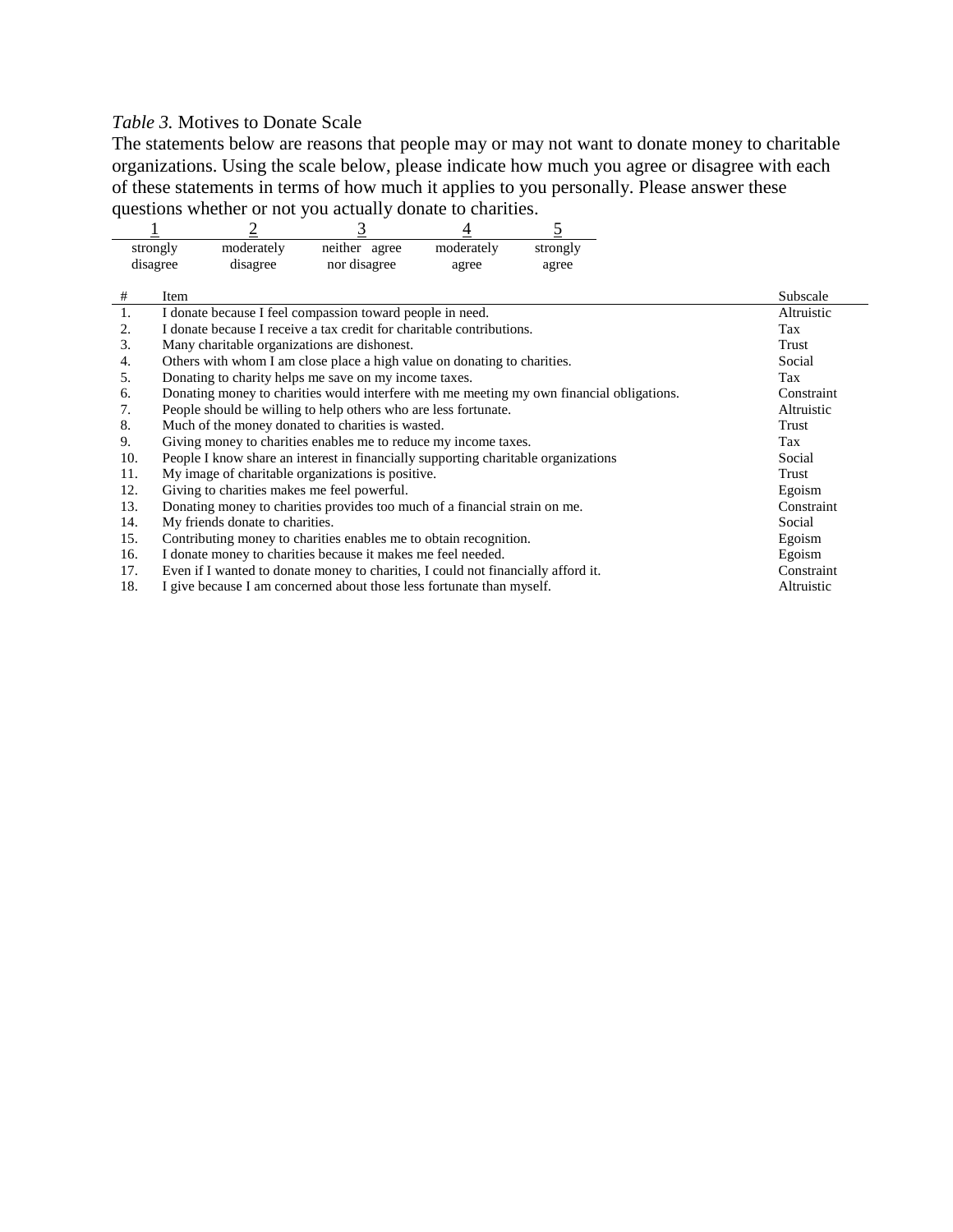# *Table 3.* Motives to Donate Scale

The statements below are reasons that people may or may not want to donate money to charitable organizations. Using the scale below, please indicate how much you agree or disagree with each of these statements in terms of how much it applies to you personally. Please answer these questions whether or not you actually donate to charities.

|     |                                                                   |                                 | 3                                                                                         |            | 5        |  |            |
|-----|-------------------------------------------------------------------|---------------------------------|-------------------------------------------------------------------------------------------|------------|----------|--|------------|
|     | strongly                                                          | moderately                      | neither agree                                                                             | moderately | strongly |  |            |
|     | disagree                                                          | disagree                        | nor disagree                                                                              | agree      | agree    |  |            |
|     |                                                                   |                                 |                                                                                           |            |          |  |            |
| #   | Item                                                              |                                 |                                                                                           |            |          |  | Subscale   |
| 1.  |                                                                   |                                 | I donate because I feel compassion toward people in need.                                 |            |          |  | Altruistic |
| 2.  |                                                                   |                                 | I donate because I receive a tax credit for charitable contributions.                     |            |          |  | Tax        |
| 3.  |                                                                   |                                 | Many charitable organizations are dishonest.                                              |            |          |  | Trust      |
| 4.  |                                                                   |                                 | Others with whom I am close place a high value on donating to charities.                  |            |          |  | Social     |
| 5.  |                                                                   |                                 | Donating to charity helps me save on my income taxes.                                     |            |          |  | Tax        |
| 6.  |                                                                   |                                 | Donating money to charities would interfere with me meeting my own financial obligations. |            |          |  | Constraint |
| 7.  |                                                                   |                                 | People should be willing to help others who are less fortunate.                           |            |          |  | Altruistic |
| 8.  |                                                                   |                                 | Much of the money donated to charities is wasted.                                         |            |          |  | Trust      |
| 9.  |                                                                   |                                 | Giving money to charities enables me to reduce my income taxes.                           |            |          |  | Tax        |
| 10. |                                                                   |                                 | People I know share an interest in financially supporting charitable organizations        |            |          |  | Social     |
| 11. |                                                                   |                                 | My image of charitable organizations is positive.                                         |            |          |  | Trust      |
| 12. |                                                                   |                                 | Giving to charities makes me feel powerful.                                               |            |          |  | Egoism     |
| 13. |                                                                   |                                 | Donating money to charities provides too much of a financial strain on me.                |            |          |  | Constraint |
| 14. |                                                                   | My friends donate to charities. |                                                                                           |            |          |  | Social     |
| 15. | Contributing money to charities enables me to obtain recognition. |                                 |                                                                                           |            |          |  | Egoism     |
| 16. |                                                                   |                                 | I donate money to charities because it makes me feel needed.                              |            |          |  | Egoism     |
| 17. |                                                                   |                                 | Even if I wanted to donate money to charities, I could not financially afford it.         |            |          |  | Constraint |
| 18. |                                                                   |                                 | I give because I am concerned about those less fortunate than myself.                     |            |          |  | Altruistic |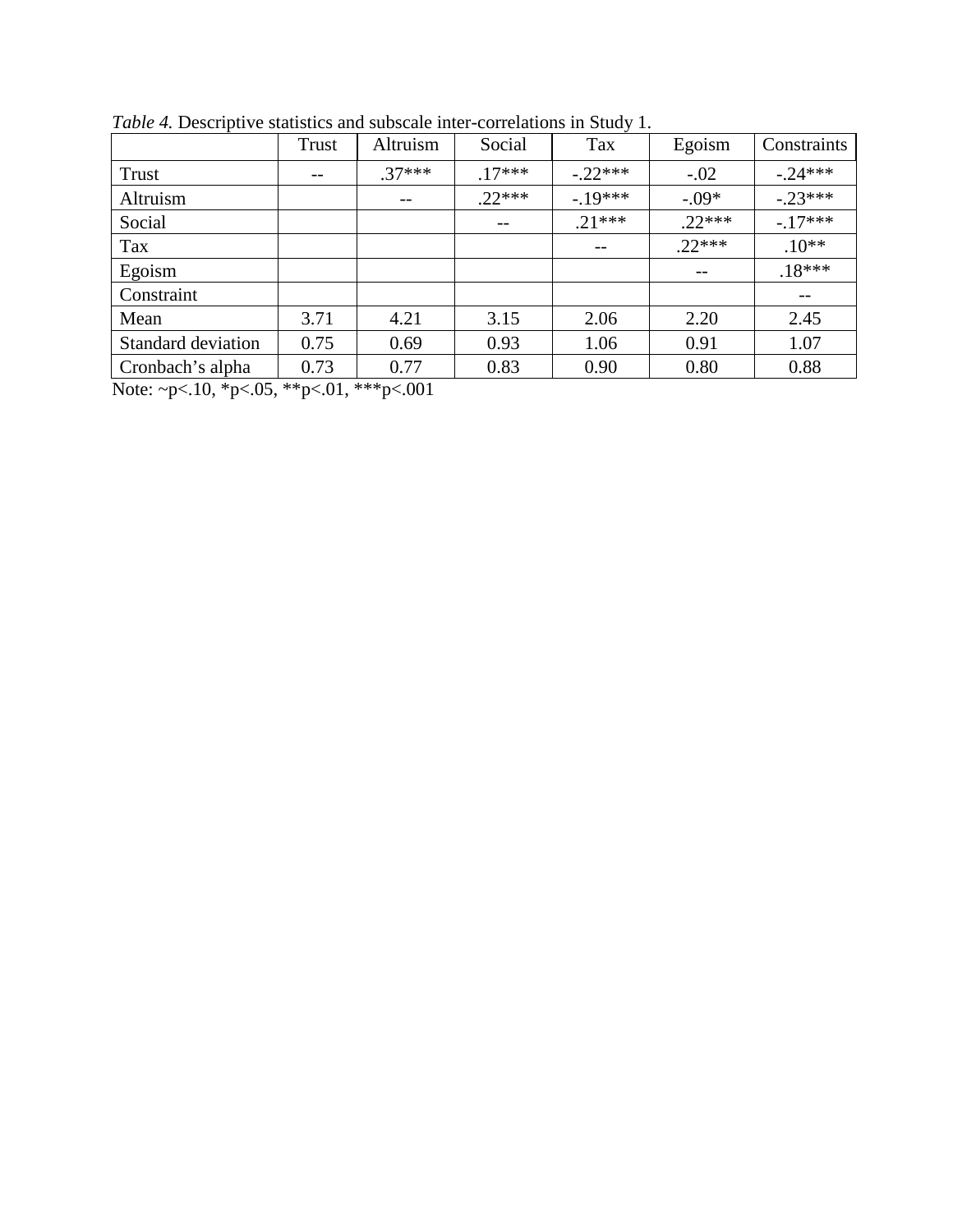|                    | <b>Trust</b> | Altruism | Social   | Tax       | Egoism   | Constraints |
|--------------------|--------------|----------|----------|-----------|----------|-------------|
| Trust              | $- -$        | $.37***$ | $.17***$ | $-.22***$ | $-.02$   | $-.24***$   |
| Altruism           |              | $- -$    | $22***$  | $-19***$  | $-.09*$  | $-.23***$   |
| Social             |              |          | $- -$    | $.21***$  | $.22***$ | $-.17***$   |
| Tax                |              |          |          |           | $.22***$ | $.10**$     |
| Egoism             |              |          |          |           |          | $.18***$    |
| Constraint         |              |          |          |           |          | $-\,-$      |
| Mean               | 3.71         | 4.21     | 3.15     | 2.06      | 2.20     | 2.45        |
| Standard deviation | 0.75         | 0.69     | 0.93     | 1.06      | 0.91     | 1.07        |
| Cronbach's alpha   | 0.73         | 0.77     | 0.83     | 0.90      | 0.80     | 0.88        |

*Table 4.* Descriptive statistics and subscale inter-correlations in Study 1.

Note: ~p<.10, \*p<.05, \*\*p<.01, \*\*\*p<.001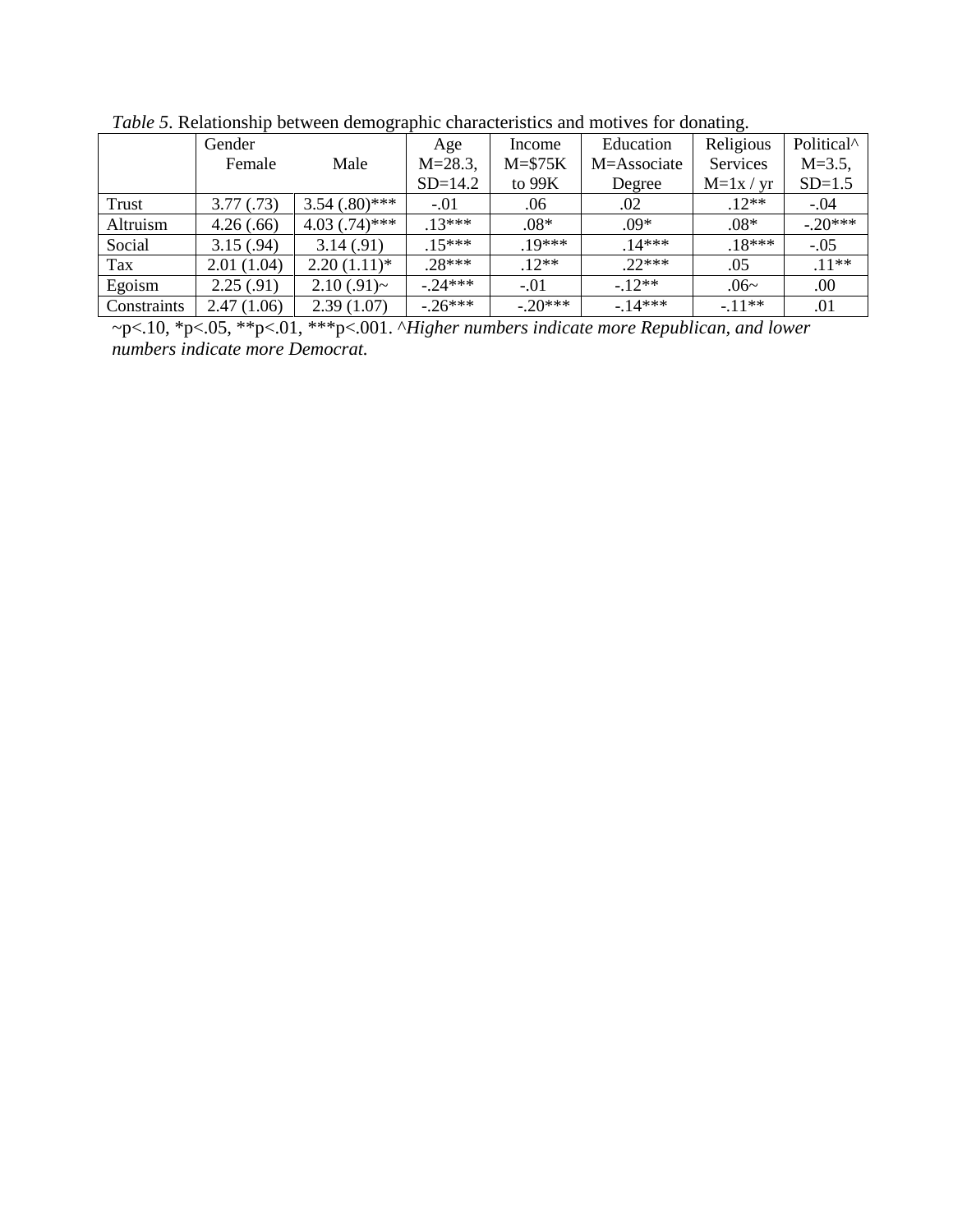| <i>ruote 5</i> : restationship occureen aemographic enaracteristics and motives for domaing. |            |                 |              |            |             |             |                        |  |  |
|----------------------------------------------------------------------------------------------|------------|-----------------|--------------|------------|-------------|-------------|------------------------|--|--|
|                                                                                              | Gender     |                 | Age          | Income     | Education   | Religious   | Political <sup>^</sup> |  |  |
|                                                                                              | Female     | Male            | $M = 28.3$ , | $M = $75K$ | M=Associate | Services    | $M = 3.5$ ,            |  |  |
|                                                                                              |            |                 | $SD=14.2$    | to $99K$   | Degree      | $M=1x / yr$ | $SD=1.5$               |  |  |
| Trust                                                                                        | 3.77(0.73) | $3.54(.80)$ *** | $-.01$       | .06        | .02         | $.12**$     | $-.04$                 |  |  |
| Altruism                                                                                     | 4.26(.66)  | $4.03(.74)$ *** | $.13***$     | $.08*$     | $.09*$      | $.08*$      | $-.20***$              |  |  |
| Social                                                                                       | 3.15(.94)  | 3.14(0.91)      | $.15***$     | 19***      | $.14***$    | $.18***$    | $-.05$                 |  |  |
| Tax                                                                                          | 2.01(1.04) | $2.20(1.11)*$   | $.28***$     | $.12**$    | $.22***$    | .05         | $.11**$                |  |  |
| Egoism                                                                                       | 2.25(.91)  | $2.10(.91)$ ~   | $-0.24***$   | $-.01$     | $-12**$     | $.06-$      | .00                    |  |  |
| Constraints                                                                                  | 2.47(1.06) | 2.39(1.07)      | $-26***$     | $-.20***$  | $-14***$    | $-11**$     | .01                    |  |  |

*Table 5*. Relationship between demographic characteristics and motives for donating.

~p<.10, \*p<.05, \*\*p<.01, \*\*\*p<.001. ^*Higher numbers indicate more Republican, and lower numbers indicate more Democrat.*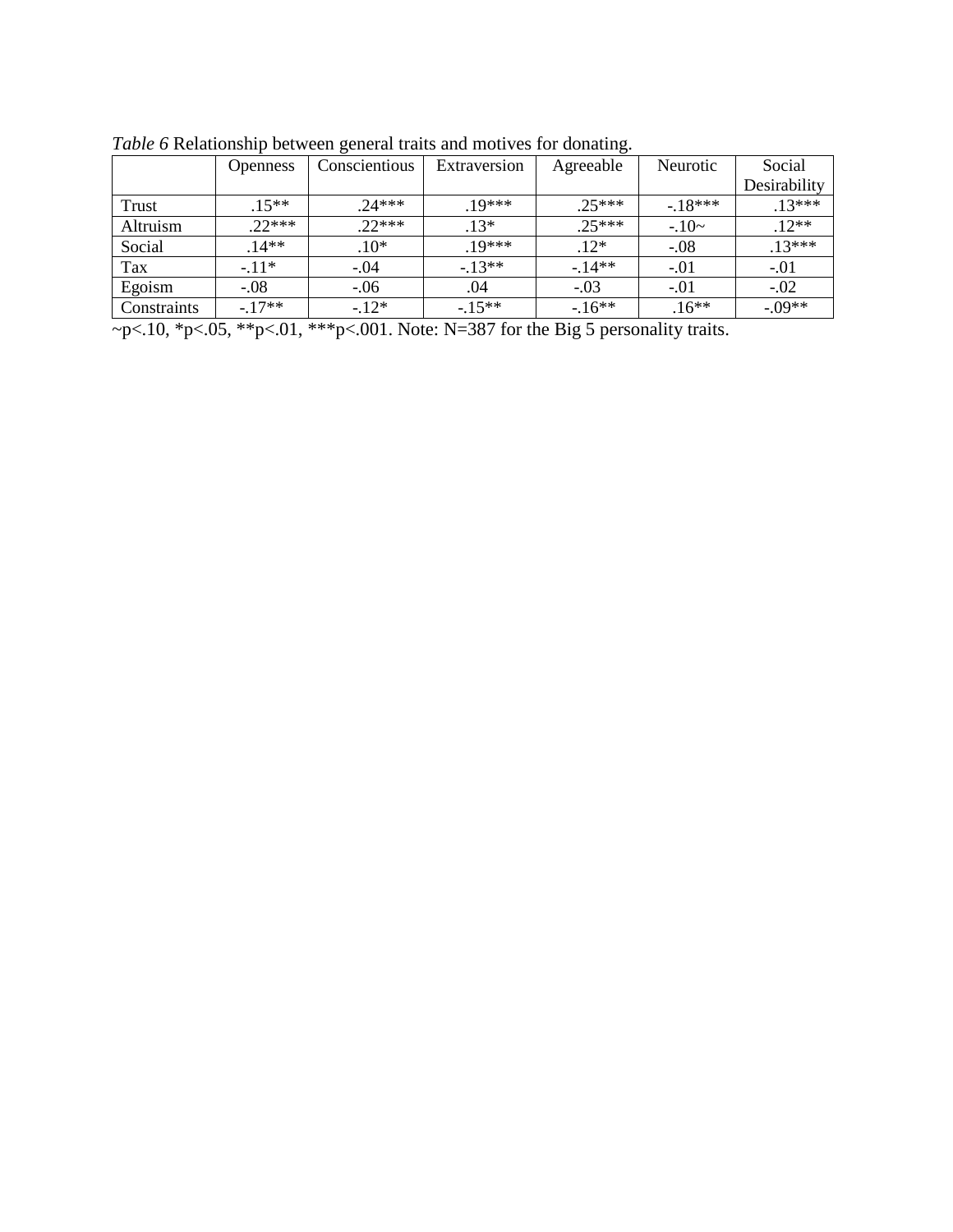|             | <b>Openness</b> | Conscientious | Extraversion | Agreeable | Neurotic | Social       |
|-------------|-----------------|---------------|--------------|-----------|----------|--------------|
|             |                 |               |              |           |          | Desirability |
| Trust       | $15***$         | $24***$       | $19***$      | $25***$   | $-18***$ | $.13***$     |
| Altruism    | $22***$         | $22***$       | $.13*$       | $.25***$  | $-10-$   | $.12**$      |
| Social      | $.14**$         | $.10*$        | $10***$      | $.12*$    | $-.08$   | $.13***$     |
| Tax         | $-11*$          | $-.04$        | $-13**$      | $-14**$   | $-.01$   | $-.01$       |
| Egoism      | $-.08$          | $-.06$        | .04          | $-.03$    | $-.01$   | $-.02$       |
| Constraints | $-17**$         | $-12*$        | $-15**$      | $-16**$   | $.16**$  | $-.09**$     |

*Table 6* Relationship between general traits and motives for donating.

~p<.10, \*p<.05, \*\*p<.01, \*\*\*p<.001. Note: N=387 for the Big 5 personality traits.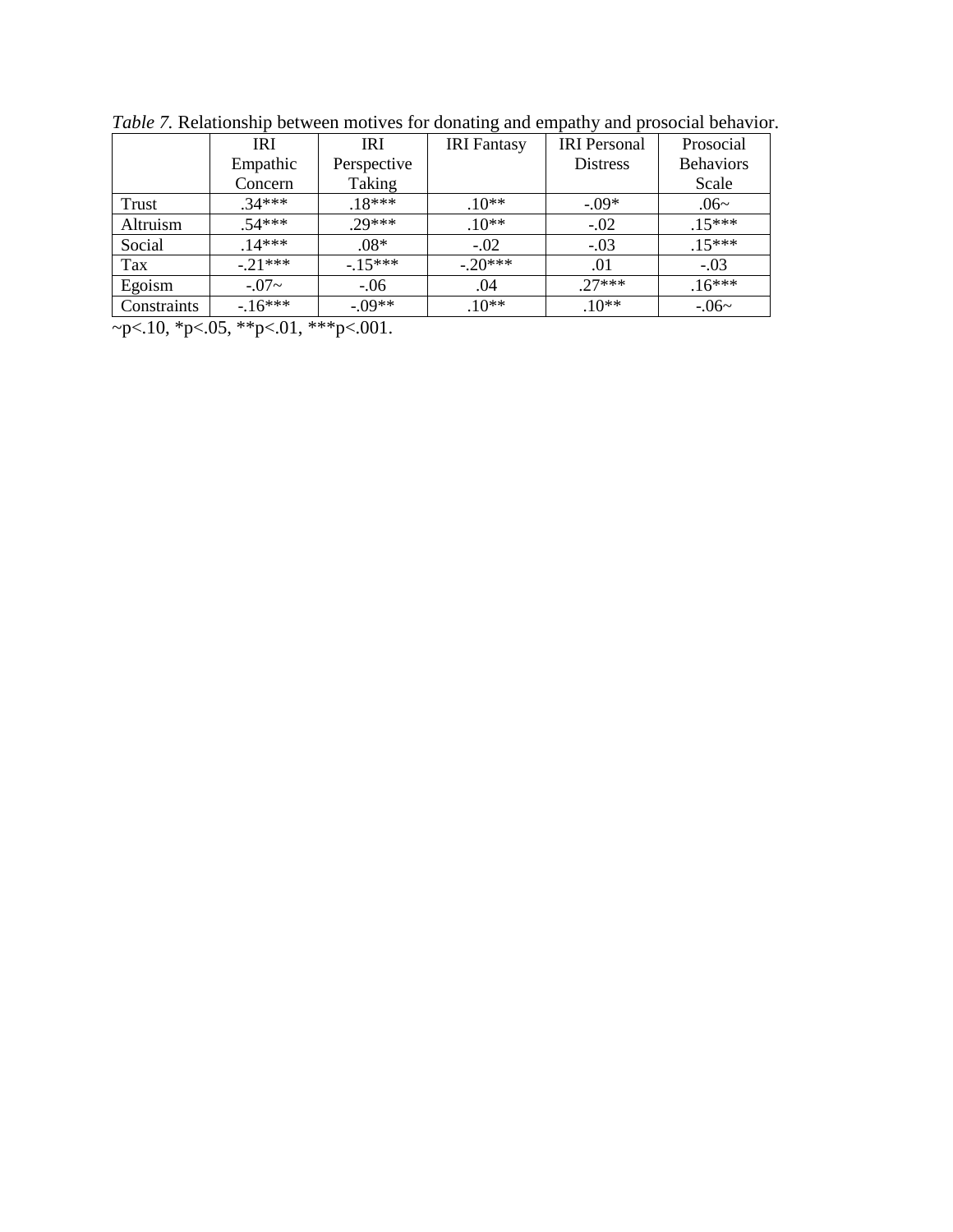|             | <b>IRI</b> | <b>IRI</b>  | <b>IRI</b> Fantasy | <b>IRI</b> Personal | Prosocial        |
|-------------|------------|-------------|--------------------|---------------------|------------------|
|             | Empathic   | Perspective |                    | <b>Distress</b>     | <b>Behaviors</b> |
|             | Concern    | Taking      |                    |                     | Scale            |
| Trust       | $34***$    | $.18***$    | $.10**$            | $-.09*$             | $.06-$           |
| Altruism    | $54***$    | $.29***$    | $.10**$            | $-.02$              | $.15***$         |
| Social      | $14***$    | $.08*$      | $-.02$             | $-.03$              | $.15***$         |
| Tax         | $-.21***$  | $-.15***$   | $-.20***$          | .01                 | $-.03$           |
| Egoism      | $-0.07 -$  | $-.06$      | .04                | $27***$             | $.16***$         |
| Constraints | $-16***$   | $-09**$     | $.10**$            | $.10**$             | $-0.06$ ~        |

*Table 7.* Relationship between motives for donating and empathy and prosocial behavior.

 $-p<.10, *p<.05, **p<.01, **p<.001.$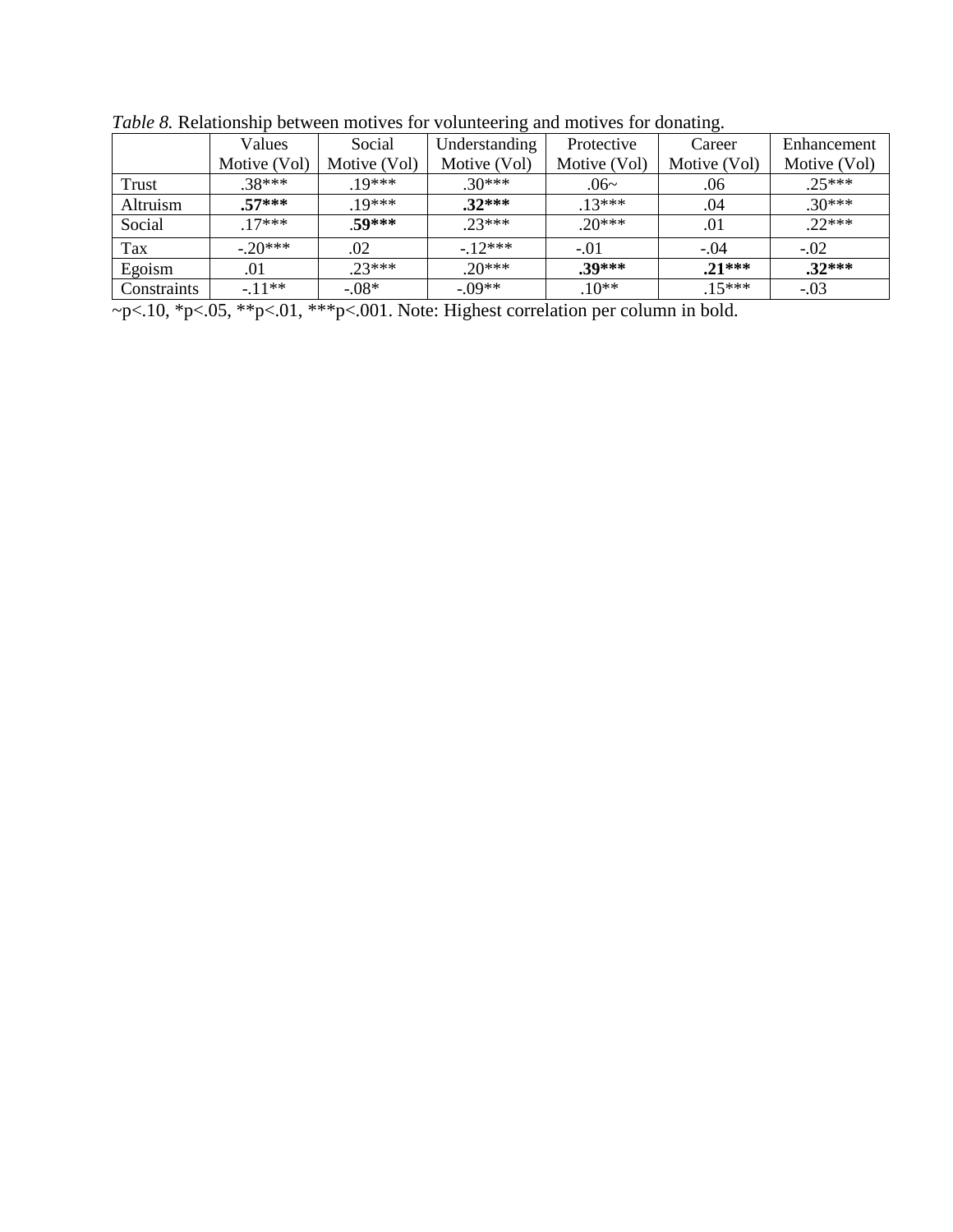|             | Values       | Social       | Understanding | Protective   | Career       | Enhancement  |
|-------------|--------------|--------------|---------------|--------------|--------------|--------------|
|             | Motive (Vol) | Motive (Vol) | Motive (Vol)  | Motive (Vol) | Motive (Vol) | Motive (Vol) |
| Trust       | $.38***$     | $.19***$     | $.30***$      | .06~         | .06          | $.25***$     |
| Altruism    | $.57***$     | $19***$      | $.32***$      | $.13***$     | .04          | $.30***$     |
| Social      | $17***$      | 50***        | $23***$       | $20***$      | .01          | $22***$      |
| Tax         | $-20***$     | .02          | $-12***$      | $-.01$       | $-.04$       | $-.02$       |
| Egoism      | .01          | $23***$      | $20***$       | $.39***$     | $.21***$     | $.32***$     |
| Constraints | $-11**$      | $-.08*$      | $-09**$       | $.10**$      | $.15***$     | $-.03$       |

*Table 8.* Relationship between motives for volunteering and motives for donating.

~p<.10, \*p<.05, \*\*p<.01, \*\*\*p<.001. Note: Highest correlation per column in bold.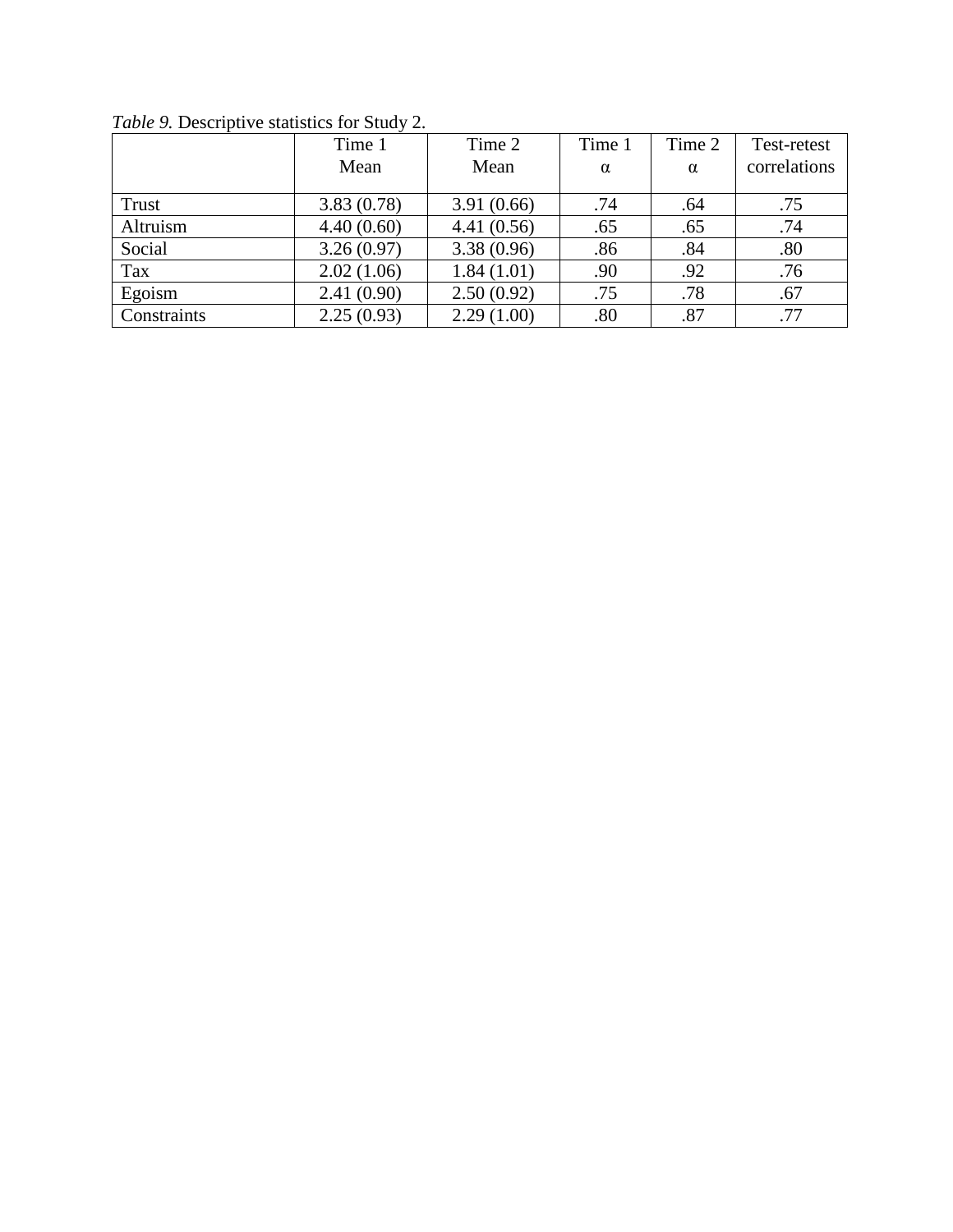|             | Time 1     | Time 2     | Time 1 | Time 2   | Test-retest  |
|-------------|------------|------------|--------|----------|--------------|
|             | Mean       | Mean       | α      | $\alpha$ | correlations |
|             |            |            |        |          |              |
| Trust       | 3.83(0.78) | 3.91(0.66) | .74    | .64      | .75          |
| Altruism    | 4.40(0.60) | 4.41(0.56) | .65    | .65      | .74          |
| Social      | 3.26(0.97) | 3.38(0.96) | .86    | .84      | .80          |
| Tax         | 2.02(1.06) | 1.84(1.01) | .90    | .92      | .76          |
| Egoism      | 2.41(0.90) | 2.50(0.92) | .75    | .78      | .67          |
| Constraints | 2.25(0.93) | 2.29(1.00) | .80    | .87      | .77          |

*Table 9.* Descriptive statistics for Study 2.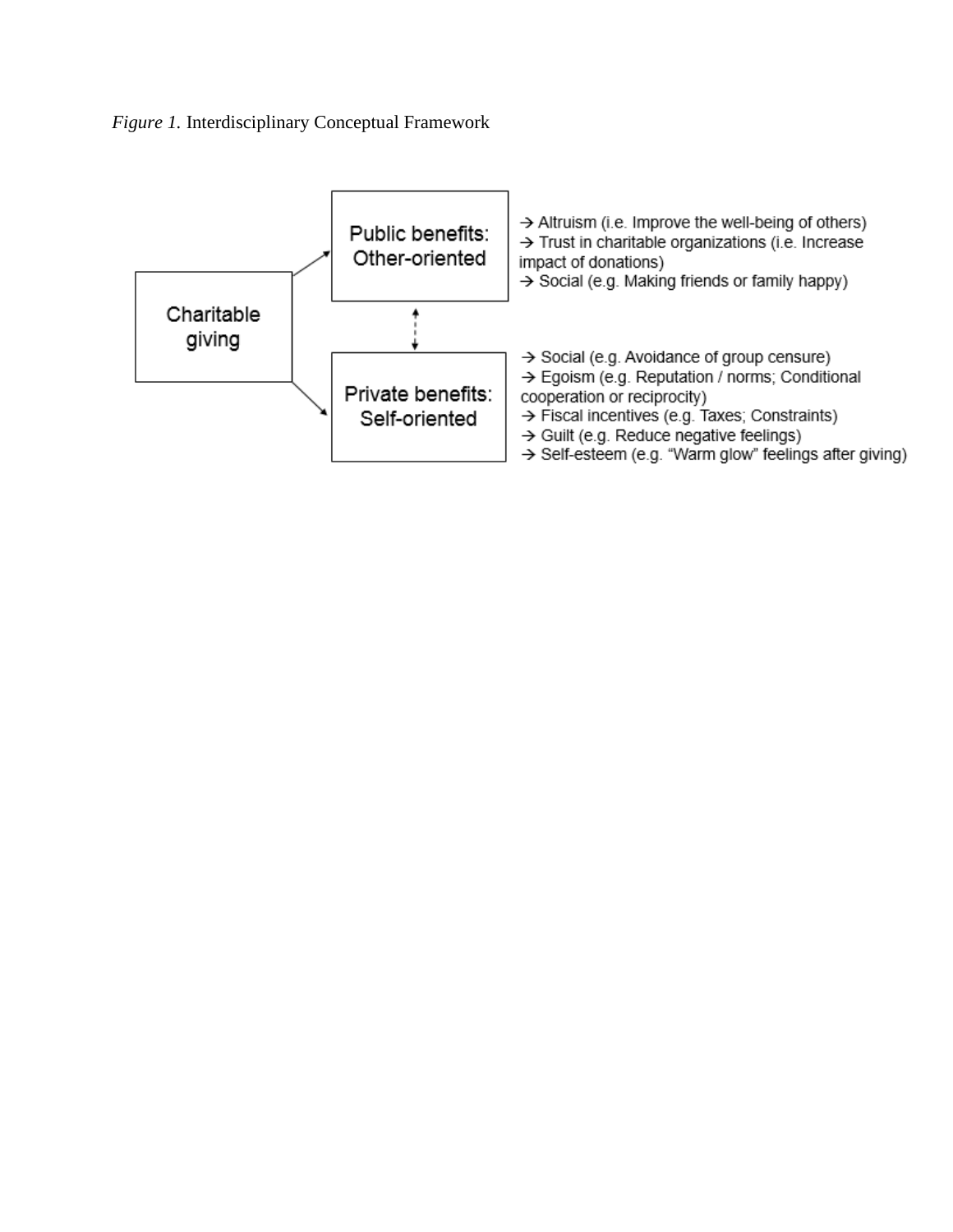*Figure 1.* Interdisciplinary Conceptual Framework